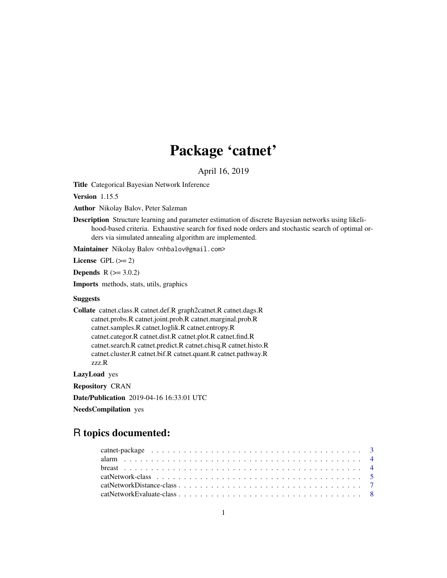# Package 'catnet'

April 16, 2019

Title Categorical Bayesian Network Inference

Version 1.15.5

Author Nikolay Balov, Peter Salzman

Description Structure learning and parameter estimation of discrete Bayesian networks using likelihood-based criteria. Exhaustive search for fixed node orders and stochastic search of optimal orders via simulated annealing algorithm are implemented.

Maintainer Nikolay Balov <nhbalov@gmail.com>

License GPL  $(>= 2)$ 

**Depends**  $R (= 3.0.2)$ 

Imports methods, stats, utils, graphics

### Suggests

Collate catnet.class.R catnet.def.R graph2catnet.R catnet.dags.R catnet.probs.R catnet.joint.prob.R catnet.marginal.prob.R catnet.samples.R catnet.loglik.R catnet.entropy.R catnet.categor.R catnet.dist.R catnet.plot.R catnet.find.R catnet.search.R catnet.predict.R catnet.chisq.R catnet.histo.R catnet.cluster.R catnet.bif.R catnet.quant.R catnet.pathway.R zzz.R

LazyLoad yes

Repository CRAN

Date/Publication 2019-04-16 16:33:01 UTC

NeedsCompilation yes

## R topics documented: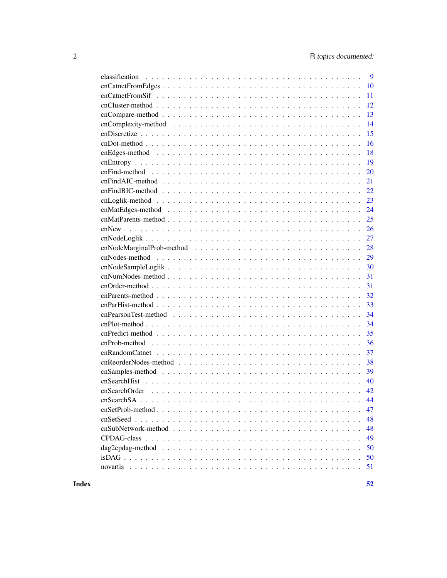| 9                                                                                                                              |
|--------------------------------------------------------------------------------------------------------------------------------|
| 10                                                                                                                             |
| 11                                                                                                                             |
| 12                                                                                                                             |
| 13                                                                                                                             |
| 14                                                                                                                             |
| 15                                                                                                                             |
| 16                                                                                                                             |
| 18                                                                                                                             |
| 19                                                                                                                             |
| 20                                                                                                                             |
| 21                                                                                                                             |
| 22                                                                                                                             |
| 23                                                                                                                             |
| 24                                                                                                                             |
| 25                                                                                                                             |
| 26                                                                                                                             |
| 27                                                                                                                             |
| 28                                                                                                                             |
| 29                                                                                                                             |
| 30                                                                                                                             |
| 31                                                                                                                             |
| 31                                                                                                                             |
| 32                                                                                                                             |
| 33                                                                                                                             |
| 34                                                                                                                             |
| 34                                                                                                                             |
| 35                                                                                                                             |
| 36                                                                                                                             |
| 37                                                                                                                             |
| 38                                                                                                                             |
| 39                                                                                                                             |
| 40                                                                                                                             |
| 42                                                                                                                             |
|                                                                                                                                |
| 47                                                                                                                             |
| 48                                                                                                                             |
| 48                                                                                                                             |
| 49                                                                                                                             |
| 50<br>$dag2cpdag-method \dots \dots \dots \dots \dots \dots \dots \dots \dots \dots \dots \dots \dots \dots \dots \dots \dots$ |
| 50                                                                                                                             |
| 51                                                                                                                             |

**Index**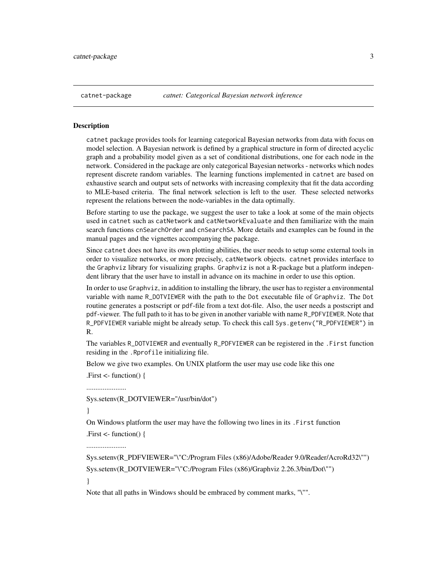<span id="page-2-1"></span><span id="page-2-0"></span>

catnet package provides tools for learning categorical Bayesian networks from data with focus on model selection. A Bayesian network is defined by a graphical structure in form of directed acyclic graph and a probability model given as a set of conditional distributions, one for each node in the network. Considered in the package are only categorical Bayesian networks - networks which nodes represent discrete random variables. The learning functions implemented in catnet are based on exhaustive search and output sets of networks with increasing complexity that fit the data according to MLE-based criteria. The final network selection is left to the user. These selected networks represent the relations between the node-variables in the data optimally.

Before starting to use the package, we suggest the user to take a look at some of the main objects used in catnet such as catNetwork and catNetworkEvaluate and then familiarize with the main search functions cnSearchOrder and cnSearchSA. More details and examples can be found in the manual pages and the vignettes accompanying the package.

Since catnet does not have its own plotting abilities, the user needs to setup some external tools in order to visualize networks, or more precisely, catNetwork objects. catnet provides interface to the Graphviz library for visualizing graphs. Graphviz is not a R-package but a platform independent library that the user have to install in advance on its machine in order to use this option.

In order to use Graphviz, in addition to installing the library, the user has to register a environmental variable with name R\_DOTVIEWER with the path to the Dot executable file of Graphviz. The Dot routine generates a postscript or pdf-file from a text dot-file. Also, the user needs a postscript and pdf-viewer. The full path to it has to be given in another variable with name R\_PDFVIEWER. Note that R\_PDFVIEWER variable might be already setup. To check this call Sys.getenv("R\_PDFVIEWER") in R.

The variables R\_DOTVIEWER and eventually R\_PDFVIEWER can be registered in the .First function residing in the .Rprofile initializing file.

Below we give two examples. On UNIX platform the user may use code like this one

.First <- function() {

Sys.setenv(R\_DOTVIEWER="/usr/bin/dot")

}

On Windows platform the user may have the following two lines in its .First function

.First <- function() {

......................

Sys.setenv(R\_PDFVIEWER="\"C:/Program Files (x86)/Adobe/Reader 9.0/Reader/AcroRd32\"") Sys.setenv(R\_DOTVIEWER="\"C:/Program Files (x86)/Graphviz 2.26.3/bin/Dot\"")

}

Note that all paths in Windows should be embraced by comment marks, "\"".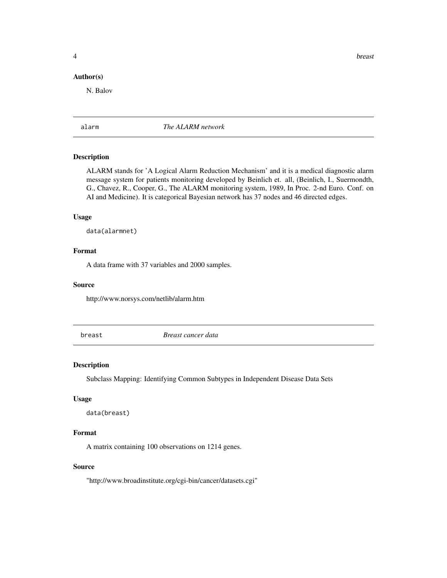<span id="page-3-0"></span>**4** breast **breast breast breast** 

#### Author(s)

N. Balov

alarm *The ALARM network*

### Description

ALARM stands for 'A Logical Alarm Reduction Mechanism' and it is a medical diagnostic alarm message system for patients monitoring developed by Beinlich et. all, (Beinlich, I., Suermondth, G., Chavez, R., Cooper, G., The ALARM monitoring system, 1989, In Proc. 2-nd Euro. Conf. on AI and Medicine). It is categorical Bayesian network has 37 nodes and 46 directed edges.

#### Usage

data(alarmnet)

### Format

A data frame with 37 variables and 2000 samples.

#### Source

http://www.norsys.com/netlib/alarm.htm

breast *Breast cancer data*

### Description

Subclass Mapping: Identifying Common Subtypes in Independent Disease Data Sets

#### Usage

```
data(breast)
```
### Format

A matrix containing 100 observations on 1214 genes.

### Source

"http://www.broadinstitute.org/cgi-bin/cancer/datasets.cgi"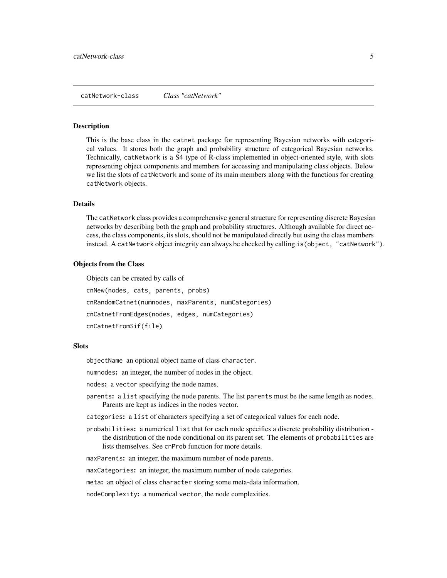<span id="page-4-1"></span><span id="page-4-0"></span>catNetwork-class *Class "catNetwork"*

#### **Description**

This is the base class in the catnet package for representing Bayesian networks with categorical values. It stores both the graph and probability structure of categorical Bayesian networks. Technically, catNetwork is a S4 type of R-class implemented in object-oriented style, with slots representing object components and members for accessing and manipulating class objects. Below we list the slots of catNetwork and some of its main members along with the functions for creating catNetwork objects.

#### Details

The catNetwork class provides a comprehensive general structure for representing discrete Bayesian networks by describing both the graph and probability structures. Although available for direct access, the class components, its slots, should not be manipulated directly but using the class members instead. A catNetwork object integrity can always be checked by calling is(object, "catNetwork").

#### Objects from the Class

Objects can be created by calls of cnNew(nodes, cats, parents, probs) cnRandomCatnet(numnodes, maxParents, numCategories) cnCatnetFromEdges(nodes, edges, numCategories) cnCatnetFromSif(file)

#### **Slots**

objectName an optional object name of class character.

numnodes: an integer, the number of nodes in the object.

nodes: a vector specifying the node names.

- parents: a list specifying the node parents. The list parents must be the same length as nodes. Parents are kept as indices in the nodes vector.
- categories: a list of characters specifying a set of categorical values for each node.
- probabilities: a numerical list that for each node specifies a discrete probability distribution the distribution of the node conditional on its parent set. The elements of probabilities are lists themselves. See cnProb function for more details.

maxParents: an integer, the maximum number of node parents.

maxCategories: an integer, the maximum number of node categories.

meta: an object of class character storing some meta-data information.

nodeComplexity: a numerical vector, the node complexities.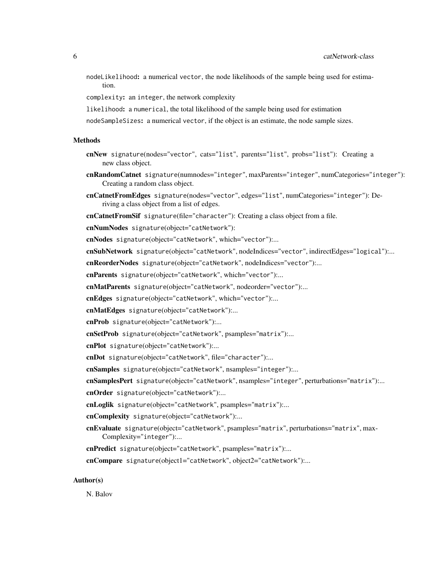nodeLikelihood: a numerical vector, the node likelihoods of the sample being used for estimation.

complexity: an integer, the network complexity

likelihood: a numerical, the total likelihood of the sample being used for estimation

nodeSampleSizes: a numerical vector, if the object is an estimate, the node sample sizes.

#### Methods

- cnNew signature(nodes="vector", cats="list", parents="list", probs="list"): Creating a new class object.
- cnRandomCatnet signature(numnodes="integer", maxParents="integer", numCategories="integer"): Creating a random class object.
- cnCatnetFromEdges signature(nodes="vector", edges="list", numCategories="integer"): Deriving a class object from a list of edges.
- cnCatnetFromSif signature(file="character"): Creating a class object from a file.
- cnNumNodes signature(object="catNetwork"):

cnNodes signature(object="catNetwork", which="vector"):...

cnSubNetwork signature(object="catNetwork", nodeIndices="vector", indirectEdges="logical"):...

cnReorderNodes signature(object="catNetwork", nodeIndices="vector"):...

cnParents signature(object="catNetwork", which="vector"):...

cnMatParents signature(object="catNetwork", nodeorder="vector"):...

cnEdges signature(object="catNetwork", which="vector"):...

cnMatEdges signature(object="catNetwork"):...

cnProb signature(object="catNetwork"):...

cnSetProb signature(object="catNetwork", psamples="matrix"):...

cnPlot signature(object="catNetwork"):...

cnDot signature(object="catNetwork", file="character"):...

cnSamples signature(object="catNetwork", nsamples="integer"):...

cnSamplesPert signature(object="catNetwork", nsamples="integer", perturbations="matrix"):...

cnOrder signature(object="catNetwork"):...

cnLoglik signature(object="catNetwork", psamples="matrix"):...

cnComplexity signature(object="catNetwork"):...

- cnEvaluate signature(object="catNetwork", psamples="matrix", perturbations="matrix", max-Complexity="integer"):...
- cnPredict signature(object="catNetwork", psamples="matrix"):...

cnCompare signature(object1="catNetwork", object2="catNetwork"):...

#### Author(s)

N. Balov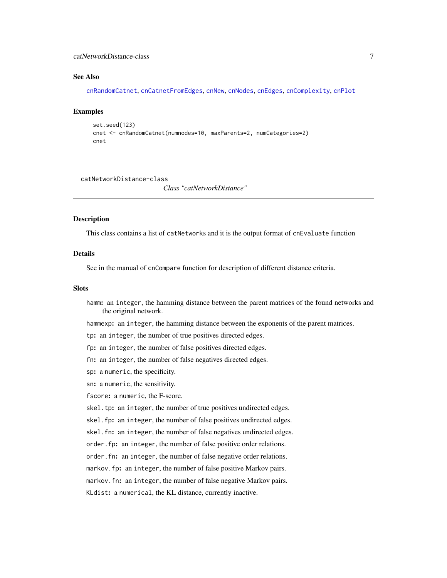### <span id="page-6-0"></span>catNetworkDistance-class 7

#### See Also

[cnRandomCatnet](#page-36-1), [cnCatnetFromEdges](#page-9-1), [cnNew](#page-25-1), [cnNodes](#page-28-1), [cnEdges](#page-17-1), [cnComplexity](#page-13-1), [cnPlot](#page-33-1)

#### Examples

```
set.seed(123)
cnet <- cnRandomCatnet(numnodes=10, maxParents=2, numCategories=2)
cnet
```
<span id="page-6-1"></span>catNetworkDistance-class

*Class "catNetworkDistance"*

#### Description

This class contains a list of catNetworks and it is the output format of cnEvaluate function

### Details

See in the manual of cnCompare function for description of different distance criteria.

#### Slots

hamm: an integer, the hamming distance between the parent matrices of the found networks and the original network.

hammexp: an integer, the hamming distance between the exponents of the parent matrices.

tp: an integer, the number of true positives directed edges.

fp: an integer, the number of false positives directed edges.

fn: an integer, the number of false negatives directed edges.

sp: a numeric, the specificity.

sn: a numeric, the sensitivity.

fscore: a numeric, the F-score.

skel.tp: an integer, the number of true positives undirected edges.

skel.fp: an integer, the number of false positives undirected edges.

skel.fn: an integer, the number of false negatives undirected edges.

order.fp: an integer, the number of false positive order relations.

order.fn: an integer, the number of false negative order relations.

markov.fp: an integer, the number of false positive Markov pairs.

markov.fn: an integer, the number of false negative Markov pairs.

KLdist: a numerical, the KL distance, currently inactive.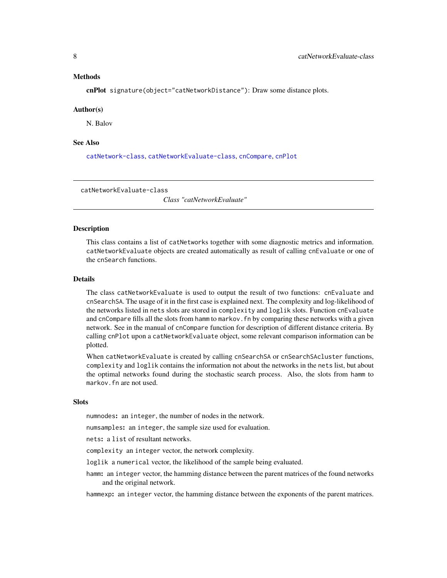#### <span id="page-7-0"></span>Methods

cnPlot signature(object="catNetworkDistance"): Draw some distance plots.

#### Author(s)

N. Balov

### See Also

[catNetwork-class](#page-4-1), [catNetworkEvaluate-class](#page-7-1), [cnCompare](#page-12-1), [cnPlot](#page-33-1)

<span id="page-7-1"></span>catNetworkEvaluate-class

*Class "catNetworkEvaluate"*

#### Description

This class contains a list of catNetworks together with some diagnostic metrics and information. catNetworkEvaluate objects are created automatically as result of calling cnEvaluate or one of the cnSearch functions.

#### Details

The class catNetworkEvaluate is used to output the result of two functions: cnEvaluate and cnSearchSA. The usage of it in the first case is explained next. The complexity and log-likelihood of the networks listed in nets slots are stored in complexity and loglik slots. Function cnEvaluate and cnCompare fills all the slots from hamm to markov.fn by comparing these networks with a given network. See in the manual of cnCompare function for description of different distance criteria. By calling cnPlot upon a catNetworkEvaluate object, some relevant comparison information can be plotted.

When catNetworkEvaluate is created by calling cnSearchSA or cnSearchSAcluster functions, complexity and loglik contains the information not about the networks in the nets list, but about the optimal networks found during the stochastic search process. Also, the slots from hamm to markov.fn are not used.

### **Slots**

numnodes: an integer, the number of nodes in the network.

numsamples: an integer, the sample size used for evaluation.

nets: a list of resultant networks.

complexity an integer vector, the network complexity.

loglik a numerical vector, the likelihood of the sample being evaluated.

hamm: an integer vector, the hamming distance between the parent matrices of the found networks and the original network.

hammexp: an integer vector, the hamming distance between the exponents of the parent matrices.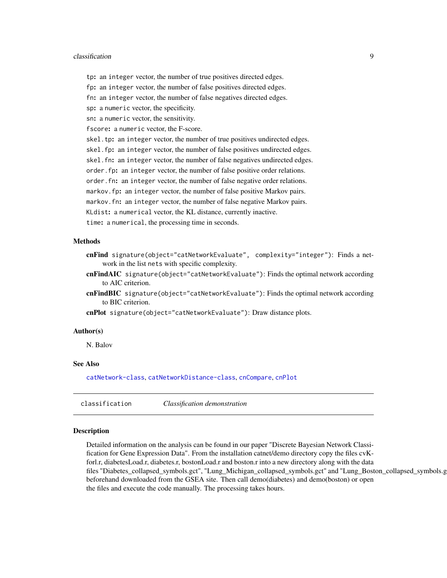#### <span id="page-8-0"></span>classification 9

- tp: an integer vector, the number of true positives directed edges.
- fp: an integer vector, the number of false positives directed edges.
- fn: an integer vector, the number of false negatives directed edges.
- sp: a numeric vector, the specificity.
- sn: a numeric vector, the sensitivity.
- fscore: a numeric vector, the F-score.
- skel.tp: an integer vector, the number of true positives undirected edges.
- skel.fp: an integer vector, the number of false positives undirected edges.
- skel.fn: an integer vector, the number of false negatives undirected edges.
- order.fp: an integer vector, the number of false positive order relations.
- order.fn: an integer vector, the number of false negative order relations.
- markov.fp: an integer vector, the number of false positive Markov pairs.
- markov.fn: an integer vector, the number of false negative Markov pairs.
- KLdist: a numerical vector, the KL distance, currently inactive.
- time: a numerical, the processing time in seconds.

#### Methods

- cnFind signature(object="catNetworkEvaluate", complexity="integer"): Finds a network in the list nets with specific complexity.
- cnFindAIC signature(object="catNetworkEvaluate"): Finds the optimal network according to AIC criterion.
- cnFindBIC signature(object="catNetworkEvaluate"): Finds the optimal network according to BIC criterion.
- cnPlot signature(object="catNetworkEvaluate"): Draw distance plots.

#### Author(s)

N. Balov

#### See Also

[catNetwork-class](#page-4-1), [catNetworkDistance-class](#page-6-1), [cnCompare](#page-12-1), [cnPlot](#page-33-1)

classification *Classification demonstration*

#### Description

Detailed information on the analysis can be found in our paper "Discrete Bayesian Network Classification for Gene Expression Data". From the installation catnet/demo directory copy the files cvKforl.r, diabetesLoad.r, diabetes.r, bostonLoad.r and boston.r into a new directory along with the data files "Diabetes\_collapsed\_symbols.gct", "Lung\_Michigan\_collapsed\_symbols.gct" and "Lung\_Boston\_collapsed\_symbols.gct" beforehand downloaded from the GSEA site. Then call demo(diabetes) and demo(boston) or open the files and execute the code manually. The processing takes hours.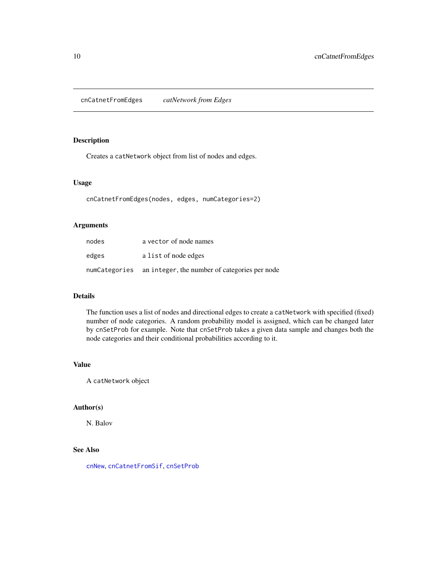<span id="page-9-1"></span><span id="page-9-0"></span>cnCatnetFromEdges *catNetwork from Edges*

### Description

Creates a catNetwork object from list of nodes and edges.

#### Usage

cnCatnetFromEdges(nodes, edges, numCategories=2)

### Arguments

| nodes | a vector of node names                                      |
|-------|-------------------------------------------------------------|
| edges | a list of node edges                                        |
|       | numCategories an integer, the number of categories per node |

#### Details

The function uses a list of nodes and directional edges to create a catNetwork with specified (fixed) number of node categories. A random probability model is assigned, which can be changed later by cnSetProb for example. Note that cnSetProb takes a given data sample and changes both the node categories and their conditional probabilities according to it.

### Value

A catNetwork object

### Author(s)

N. Balov

### See Also

[cnNew](#page-25-1), [cnCatnetFromSif](#page-10-1), [cnSetProb](#page-46-1)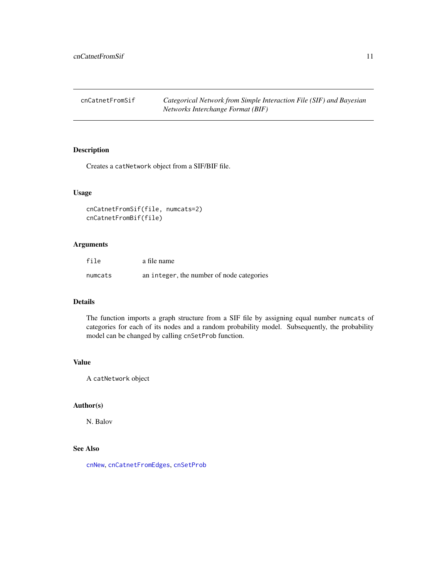<span id="page-10-1"></span><span id="page-10-0"></span>cnCatnetFromSif *Categorical Network from Simple Interaction File (SIF) and Bayesian Networks Interchange Format (BIF)*

### Description

Creates a catNetwork object from a SIF/BIF file.

### Usage

```
cnCatnetFromSif(file, numcats=2)
cnCatnetFromBif(file)
```
### Arguments

| file    | a file name                               |
|---------|-------------------------------------------|
| numcats | an integer, the number of node categories |

### Details

The function imports a graph structure from a SIF file by assigning equal number numcats of categories for each of its nodes and a random probability model. Subsequently, the probability model can be changed by calling cnSetProb function.

### Value

A catNetwork object

## Author(s)

N. Balov

#### See Also

[cnNew](#page-25-1), [cnCatnetFromEdges](#page-9-1), [cnSetProb](#page-46-1)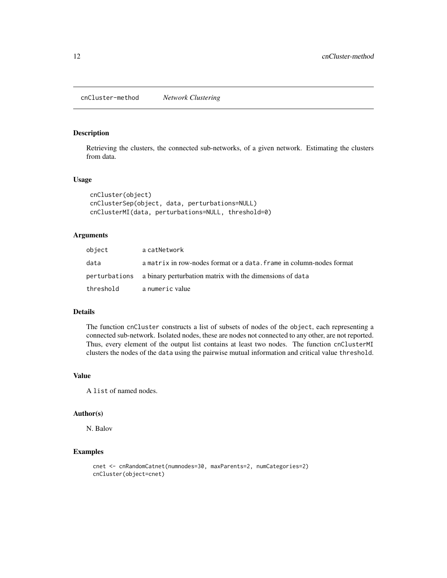<span id="page-11-0"></span>Retrieving the clusters, the connected sub-networks, of a given network. Estimating the clusters from data.

#### Usage

```
cnCluster(object)
cnClusterSep(object, data, perturbations=NULL)
cnClusterMI(data, perturbations=NULL, threshold=0)
```
#### Arguments

| object    | a catNetwork                                                           |
|-----------|------------------------------------------------------------------------|
| data      | a matrix in row-nodes format or a data. frame in column-nodes format   |
|           | perturbations a binary perturbation matrix with the dimensions of data |
| threshold | a numeric value                                                        |

#### Details

The function cnCluster constructs a list of subsets of nodes of the object, each representing a connected sub-network. Isolated nodes, these are nodes not connected to any other, are not reported. Thus, every element of the output list contains at least two nodes. The function cnClusterMI clusters the nodes of the data using the pairwise mutual information and critical value threshold.

#### Value

A list of named nodes.

#### Author(s)

N. Balov

```
cnet <- cnRandomCatnet(numnodes=30, maxParents=2, numCategories=2)
cnCluster(object=cnet)
```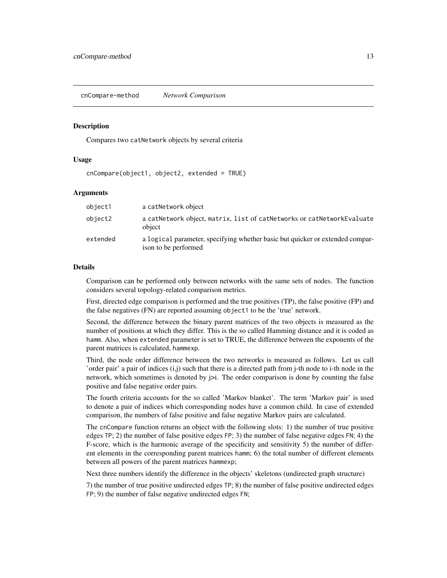<span id="page-12-0"></span>cnCompare-method *Network Comparison*

#### <span id="page-12-1"></span>Description

Compares two catNetwork objects by several criteria

### Usage

cnCompare(object1, object2, extended = TRUE)

### Arguments

| object1  | a catNetwork object                                                                                   |
|----------|-------------------------------------------------------------------------------------------------------|
| object2  | a catNetwork object, matrix, list of catNetworks or catNetworkEvaluate<br>object                      |
| extended | a logical parameter, specifying whether basic but quicker or extended compar-<br>ison to be performed |

#### Details

Comparison can be performed only between networks with the same sets of nodes. The function considers several topology-related comparison metrics.

First, directed edge comparison is performed and the true positives (TP), the false positive (FP) and the false negatives (FN) are reported assuming object1 to be the 'true' network.

Second, the difference between the binary parent matrices of the two objects is measured as the number of positions at which they differ. This is the so called Hamming distance and it is coded as hamm. Also, when extended parameter is set to TRUE, the difference between the exponents of the parent matrices is calculated, hammexp.

Third, the node order difference between the two networks is measured as follows. Let us call 'order pair' a pair of indices (i,j) such that there is a directed path from j-th node to i-th node in the network, which sometimes is denoted by j>i. The order comparison is done by counting the false positive and false negative order pairs.

The fourth criteria accounts for the so called 'Markov blanket'. The term 'Markov pair' is used to denote a pair of indices which corresponding nodes have a common child. In case of extended comparison, the numbers of false positive and false negative Markov pairs are calculated.

The cnCompare function returns an object with the following slots: 1) the number of true positive edges TP; 2) the number of false positive edges FP; 3) the number of false negative edges FN; 4) the F-score, which is the harmonic average of the specificity and sensitivity 5) the number of different elements in the corresponding parent matrices hamm; 6) the total number of different elements between all powers of the parent matrices hammexp;

Next three numbers identify the difference in the objects' skeletons (undirected graph structure)

7) the number of true positive undirected edges TP; 8) the number of false positive undirected edges FP; 9) the number of false negative undirected edges FN;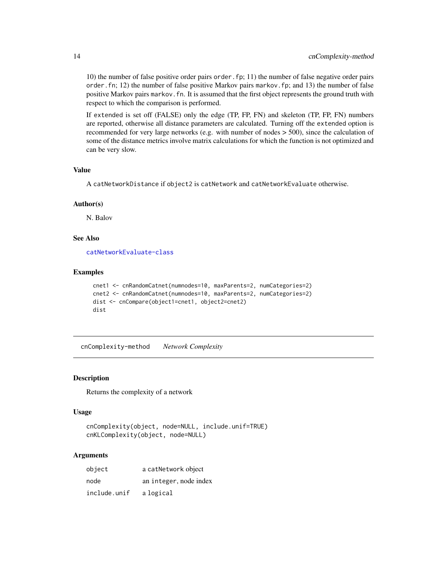10) the number of false positive order pairs order.fp; 11) the number of false negative order pairs order.fn; 12) the number of false positive Markov pairs markov.fp; and 13) the number of false positive Markov pairs markov.fn. It is assumed that the first object represents the ground truth with respect to which the comparison is performed.

If extended is set off (FALSE) only the edge (TP, FP, FN) and skeleton (TP, FP, FN) numbers are reported, otherwise all distance parameters are calculated. Turning off the extended option is recommended for very large networks (e.g. with number of nodes > 500), since the calculation of some of the distance metrics involve matrix calculations for which the function is not optimized and can be very slow.

### Value

A catNetworkDistance if object2 is catNetwork and catNetworkEvaluate otherwise.

#### Author(s)

N. Balov

### See Also

[catNetworkEvaluate-class](#page-7-1)

### Examples

```
cnet1 <- cnRandomCatnet(numnodes=10, maxParents=2, numCategories=2)
cnet2 <- cnRandomCatnet(numnodes=10, maxParents=2, numCategories=2)
dist <- cnCompare(object1=cnet1, object2=cnet2)
dist
```
cnComplexity-method *Network Complexity*

### <span id="page-13-1"></span>Description

Returns the complexity of a network

#### Usage

```
cnComplexity(object, node=NULL, include.unif=TRUE)
cnKLComplexity(object, node=NULL)
```
#### Arguments

| object       | a catNetwork object    |
|--------------|------------------------|
| node         | an integer, node index |
| include.unif | a logical              |

<span id="page-13-0"></span>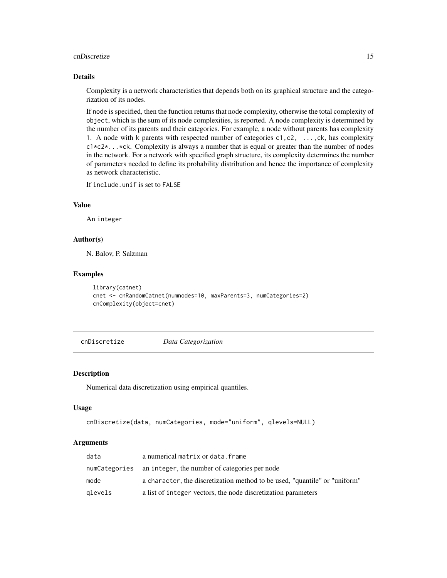#### <span id="page-14-0"></span>cnDiscretize 15

### Details

Complexity is a network characteristics that depends both on its graphical structure and the categorization of its nodes.

If node is specified, then the function returns that node complexity, otherwise the total complexity of object, which is the sum of its node complexities, is reported. A node complexity is determined by the number of its parents and their categories. For example, a node without parents has complexity 1. A node with k parents with respected number of categories  $c_1, c_2, \ldots, c_k$ , has complexity  $c1 \times c2 \times ... \times c$ k. Complexity is always a number that is equal or greater than the number of nodes in the network. For a network with specified graph structure, its complexity determines the number of parameters needed to define its probability distribution and hence the importance of complexity as network characteristic.

If include.unif is set to FALSE

### Value

An integer

### Author(s)

N. Balov, P. Salzman

### Examples

```
library(catnet)
cnet <- cnRandomCatnet(numnodes=10, maxParents=3, numCategories=2)
cnComplexity(object=cnet)
```
cnDiscretize *Data Categorization*

### Description

Numerical data discretization using empirical quantiles.

#### Usage

```
cnDiscretize(data, numCategories, mode="uniform", qlevels=NULL)
```
#### Arguments

| data    | a numerical matrix or data. frame                                          |
|---------|----------------------------------------------------------------------------|
|         | numCategories an integer, the number of categories per node                |
| mode    | a character, the discretization method to be used, "quantile" or "uniform" |
| glevels | a list of integer vectors, the node discretization parameters              |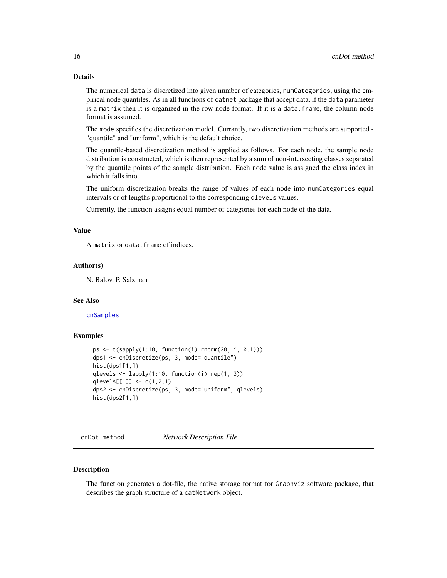### <span id="page-15-0"></span>Details

The numerical data is discretized into given number of categories, numCategories, using the empirical node quantiles. As in all functions of catnet package that accept data, if the data parameter is a matrix then it is organized in the row-node format. If it is a data.frame, the column-node format is assumed.

The mode specifies the discretization model. Currantly, two discretization methods are supported - "quantile" and "uniform", which is the default choice.

The quantile-based discretization method is applied as follows. For each node, the sample node distribution is constructed, which is then represented by a sum of non-intersecting classes separated by the quantile points of the sample distribution. Each node value is assigned the class index in which it falls into.

The uniform discretization breaks the range of values of each node into numCategories equal intervals or of lengths proportional to the corresponding qlevels values.

Currently, the function assigns equal number of categories for each node of the data.

### Value

A matrix or data.frame of indices.

#### Author(s)

N. Balov, P. Salzman

#### See Also

[cnSamples](#page-38-1)

#### Examples

```
ps <- t(sapply(1:10, function(i) rnorm(20, i, 0.1)))
dps1 <- cnDiscretize(ps, 3, mode="quantile")
hist(dps1[1,])
qlevels <- lapply(1:10, function(i) rep(1, 3))
qlevels[[1]] <- c(1,2,1)
dps2 <- cnDiscretize(ps, 3, mode="uniform", qlevels)
hist(dps2[1,])
```
cnDot-method *Network Description File*

#### <span id="page-15-1"></span>Description

The function generates a dot-file, the native storage format for Graphviz software package, that describes the graph structure of a catNetwork object.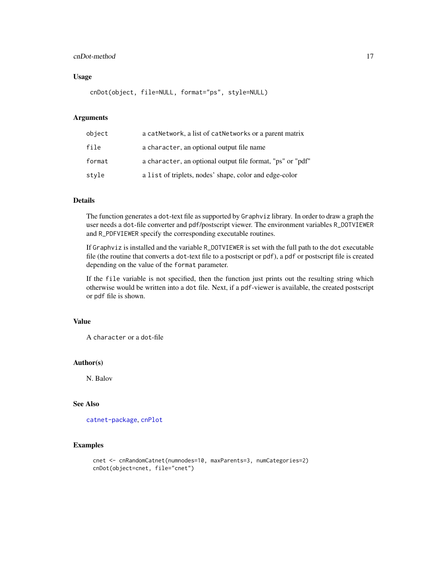### <span id="page-16-0"></span>cnDot-method 17

### Usage

cnDot(object, file=NULL, format="ps", style=NULL)

### Arguments

| object | a cat Network, a list of cat Networks or a parent matrix   |
|--------|------------------------------------------------------------|
| file   | a character, an optional output file name                  |
| format | a character, an optional output file format, "ps" or "pdf" |
| stvle  | a list of triplets, nodes' shape, color and edge-color     |

### Details

The function generates a dot-text file as supported by Graphviz library. In order to draw a graph the user needs a dot-file converter and pdf/postscript viewer. The environment variables R\_DOTVIEWER and R\_PDFVIEWER specify the corresponding executable routines.

If Graphviz is installed and the variable R\_DOTVIEWER is set with the full path to the dot executable file (the routine that converts a dot-text file to a postscript or pdf), a pdf or postscript file is created depending on the value of the format parameter.

If the file variable is not specified, then the function just prints out the resulting string which otherwise would be written into a dot file. Next, if a pdf-viewer is available, the created postscript or pdf file is shown.

### Value

A character or a dot-file

### Author(s)

N. Balov

### See Also

[catnet-package](#page-2-1), [cnPlot](#page-33-1)

```
cnet <- cnRandomCatnet(numnodes=10, maxParents=3, numCategories=2)
cnDot(object=cnet, file="cnet")
```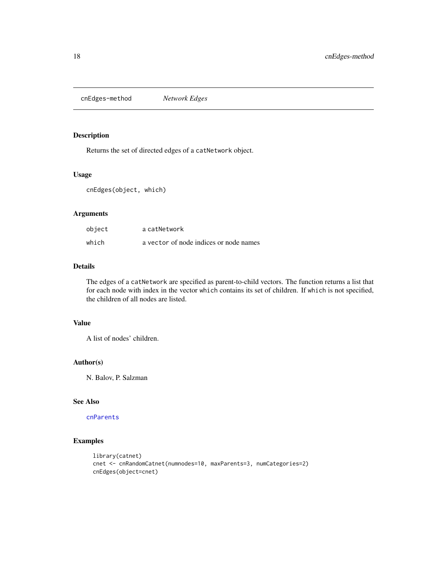<span id="page-17-0"></span>cnEdges-method *Network Edges*

### <span id="page-17-1"></span>Description

Returns the set of directed edges of a catNetwork object.

### Usage

cnEdges(object, which)

### Arguments

| object | a catNetwork                           |
|--------|----------------------------------------|
| which  | a vector of node indices or node names |

### Details

The edges of a catNetwork are specified as parent-to-child vectors. The function returns a list that for each node with index in the vector which contains its set of children. If which is not specified, the children of all nodes are listed.

### Value

A list of nodes' children.

### Author(s)

N. Balov, P. Salzman

### See Also

[cnParents](#page-31-1)

```
library(catnet)
cnet <- cnRandomCatnet(numnodes=10, maxParents=3, numCategories=2)
cnEdges(object=cnet)
```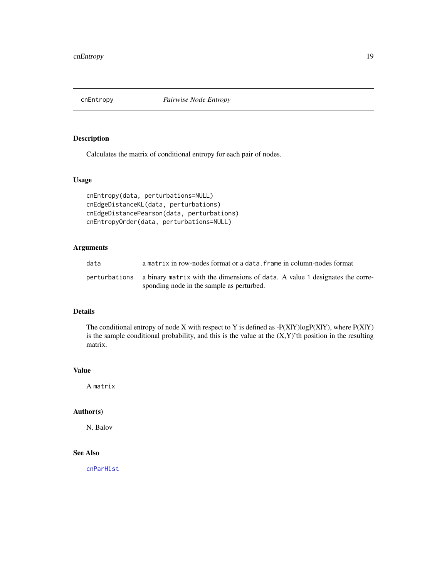<span id="page-18-0"></span>

Calculates the matrix of conditional entropy for each pair of nodes.

### Usage

```
cnEntropy(data, perturbations=NULL)
cnEdgeDistanceKL(data, perturbations)
cnEdgeDistancePearson(data, perturbations)
cnEntropyOrder(data, perturbations=NULL)
```
### Arguments

| data | a matrix in row-nodes format or a data. frame in column-nodes format                                                                    |
|------|-----------------------------------------------------------------------------------------------------------------------------------------|
|      | perturbations a binary matrix with the dimensions of data. A value 1 designates the corre-<br>sponding node in the sample as perturbed. |

#### Details

The conditional entropy of node X with respect to Y is defined as  $-P(X|Y)logP(X|Y)$ , where  $P(X|Y)$ is the sample conditional probability, and this is the value at the  $(X, Y)$ 'th position in the resulting matrix.

### Value

A matrix

### Author(s)

N. Balov

### See Also

[cnParHist](#page-32-1)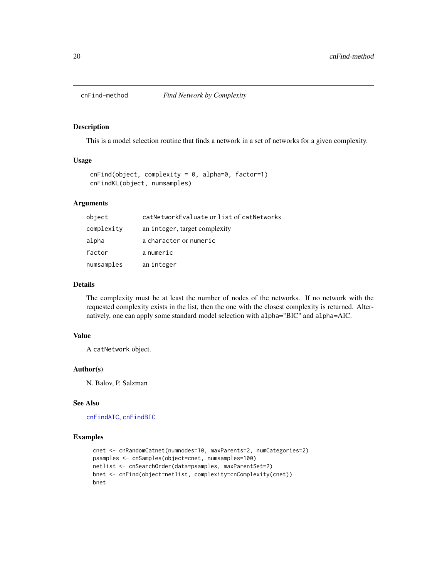<span id="page-19-1"></span><span id="page-19-0"></span>

This is a model selection routine that finds a network in a set of networks for a given complexity.

### Usage

```
cnFind(object, complexity = 0, alpha=0, factor=1)cnFindKL(object, numsamples)
```
### Arguments

| object     | catNetworkEvaluate or list of catNetworks |
|------------|-------------------------------------------|
| complexity | an integer, target complexity             |
| alpha      | a character or numeric                    |
| factor     | anumeric                                  |
| numsamples | an integer                                |

#### Details

The complexity must be at least the number of nodes of the networks. If no network with the requested complexity exists in the list, then the one with the closest complexity is returned. Alternatively, one can apply some standard model selection with alpha="BIC" and alpha=AIC.

#### Value

A catNetwork object.

#### Author(s)

N. Balov, P. Salzman

### See Also

[cnFindAIC](#page-20-1), [cnFindBIC](#page-21-1)

```
cnet <- cnRandomCatnet(numnodes=10, maxParents=2, numCategories=2)
psamples <- cnSamples(object=cnet, numsamples=100)
netlist <- cnSearchOrder(data=psamples, maxParentSet=2)
bnet <- cnFind(object=netlist, complexity=cnComplexity(cnet))
bnet
```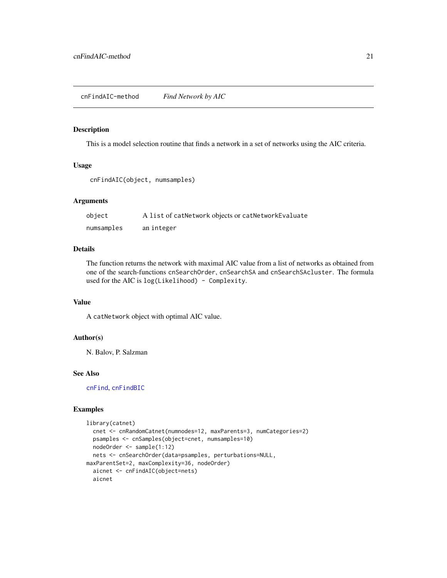<span id="page-20-1"></span><span id="page-20-0"></span>This is a model selection routine that finds a network in a set of networks using the AIC criteria.

#### Usage

```
cnFindAIC(object, numsamples)
```
### Arguments

| object     | A list of catNetwork objects or catNetworkEvaluate |
|------------|----------------------------------------------------|
| numsamples | an integer                                         |

### Details

The function returns the network with maximal AIC value from a list of networks as obtained from one of the search-functions cnSearchOrder, cnSearchSA and cnSearchSAcluster. The formula used for the AIC is log(Likelihood) - Complexity.

#### Value

A catNetwork object with optimal AIC value.

### Author(s)

N. Balov, P. Salzman

### See Also

[cnFind](#page-19-1), [cnFindBIC](#page-21-1)

```
library(catnet)
  cnet <- cnRandomCatnet(numnodes=12, maxParents=3, numCategories=2)
  psamples <- cnSamples(object=cnet, numsamples=10)
  nodeOrder <- sample(1:12)
  nets <- cnSearchOrder(data=psamples, perturbations=NULL,
maxParentSet=2, maxComplexity=36, nodeOrder)
  aicnet <- cnFindAIC(object=nets)
  aicnet
```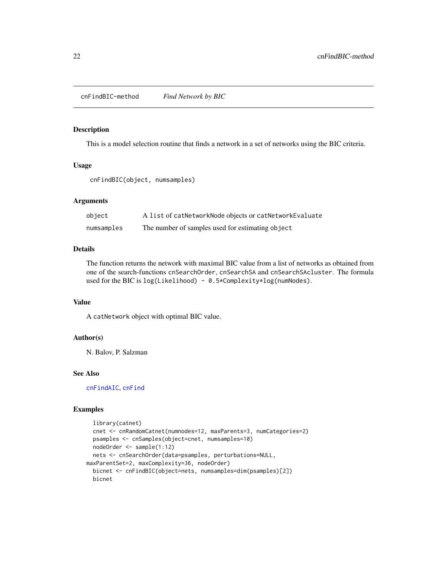<span id="page-21-0"></span>cnFindBIC-method *Find Network by BIC*

#### <span id="page-21-1"></span>Description

This is a model selection routine that finds a network in a set of networks using the BIC criteria.

#### Usage

```
cnFindBIC(object, numsamples)
```
### Arguments

| object     | A list of catNetworkNode objects or catNetworkEvaluate |
|------------|--------------------------------------------------------|
| numsamples | The number of samples used for estimating object       |

### Details

The function returns the network with maximal BIC value from a list of networks as obtained from one of the search-functions cnSearchOrder, cnSearchSA and cnSearchSAcluster. The formula used for the BIC is log(Likelihood) - 0.5\*Complexity\*log(numNodes).

#### Value

A catNetwork object with optimal BIC value.

### Author(s)

N. Balov, P. Salzman

### See Also

[cnFindAIC](#page-20-1), [cnFind](#page-19-1)

```
library(catnet)
 cnet <- cnRandomCatnet(numnodes=12, maxParents=3, numCategories=2)
 psamples <- cnSamples(object=cnet, numsamples=10)
 nodeOrder <- sample(1:12)
 nets <- cnSearchOrder(data=psamples, perturbations=NULL,
maxParentSet=2, maxComplexity=36, nodeOrder)
 bicnet <- cnFindBIC(object=nets, numsamples=dim(psamples)[2])
 bicnet
```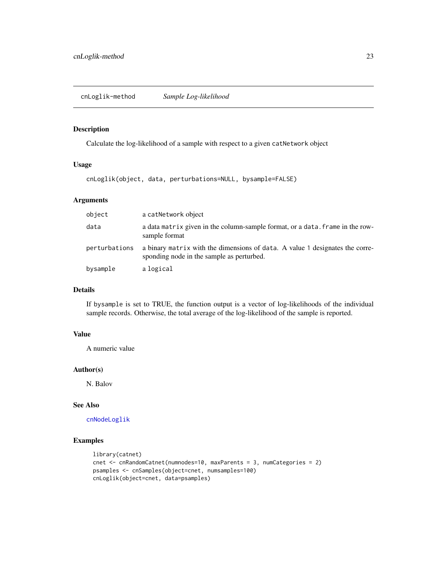<span id="page-22-1"></span><span id="page-22-0"></span>Calculate the log-likelihood of a sample with respect to a given catNetwork object

### Usage

cnLoglik(object, data, perturbations=NULL, bysample=FALSE)

### Arguments

| object        | a catNetwork object                                                                                                       |
|---------------|---------------------------------------------------------------------------------------------------------------------------|
| data          | a data matrix given in the column-sample format, or a data. frame in the row-<br>sample format                            |
| perturbations | a binary matrix with the dimensions of data. A value 1 designates the corre-<br>sponding node in the sample as perturbed. |
| bysample      | a logical                                                                                                                 |

### Details

If bysample is set to TRUE, the function output is a vector of log-likelihoods of the individual sample records. Otherwise, the total average of the log-likelihood of the sample is reported.

### Value

A numeric value

### Author(s)

N. Balov

### See Also

[cnNodeLoglik](#page-26-1)

```
library(catnet)
cnet <- cnRandomCatnet(numnodes=10, maxParents = 3, numCategories = 2)
psamples <- cnSamples(object=cnet, numsamples=100)
cnLoglik(object=cnet, data=psamples)
```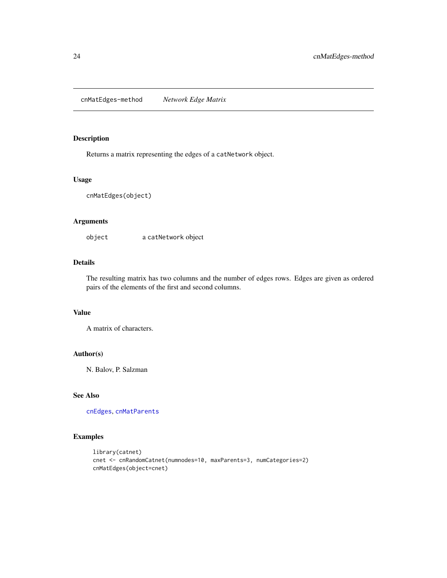<span id="page-23-0"></span>cnMatEdges-method *Network Edge Matrix*

#### <span id="page-23-1"></span>Description

Returns a matrix representing the edges of a catNetwork object.

### Usage

cnMatEdges(object)

### Arguments

object a catNetwork object

### Details

The resulting matrix has two columns and the number of edges rows. Edges are given as ordered pairs of the elements of the first and second columns.

### Value

A matrix of characters.

### Author(s)

N. Balov, P. Salzman

### See Also

[cnEdges](#page-17-1), [cnMatParents](#page-24-1)

```
library(catnet)
cnet <- cnRandomCatnet(numnodes=10, maxParents=3, numCategories=2)
cnMatEdges(object=cnet)
```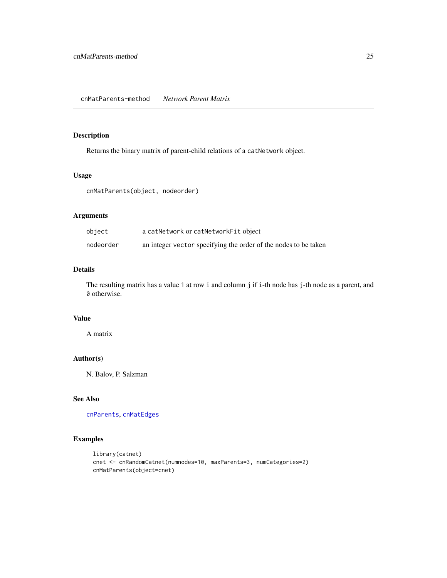<span id="page-24-1"></span><span id="page-24-0"></span>Returns the binary matrix of parent-child relations of a catNetwork object.

### Usage

cnMatParents(object, nodeorder)

#### Arguments

| object    | a catNetwork or catNetworkFit object                            |
|-----------|-----------------------------------------------------------------|
| nodeorder | an integer vector specifying the order of the nodes to be taken |

### Details

The resulting matrix has a value 1 at row i and column j if i-th node has j-th node as a parent, and 0 otherwise.

### Value

A matrix

### Author(s)

N. Balov, P. Salzman

### See Also

[cnParents](#page-31-1), [cnMatEdges](#page-23-1)

```
library(catnet)
cnet <- cnRandomCatnet(numnodes=10, maxParents=3, numCategories=2)
cnMatParents(object=cnet)
```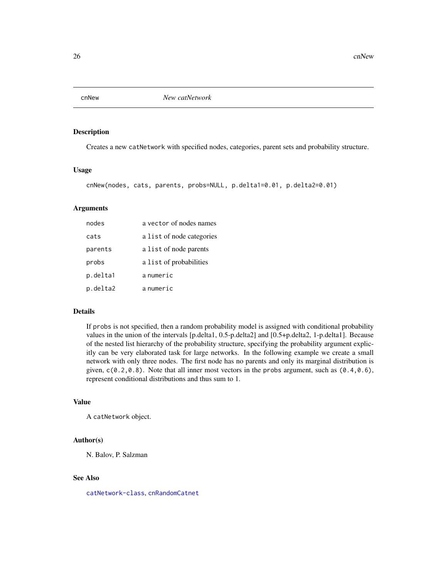<span id="page-25-1"></span><span id="page-25-0"></span>

Creates a new catNetwork with specified nodes, categories, parent sets and probability structure.

#### Usage

```
cnNew(nodes, cats, parents, probs=NULL, p.delta1=0.01, p.delta2=0.01)
```
### Arguments

| nodes    | a vector of nodes names   |
|----------|---------------------------|
| cats     | a list of node categories |
| parents  | a list of node parents    |
| probs    | a list of probabilities   |
| p.delta1 | anumeric                  |
| p.delta2 | a numeric                 |

#### Details

If probs is not specified, then a random probability model is assigned with conditional probability values in the union of the intervals [p.delta1, 0.5-p.delta2] and [0.5+p.delta2, 1-p.delta1]. Because of the nested list hierarchy of the probability structure, specifying the probability argument explicitly can be very elaborated task for large networks. In the following example we create a small network with only three nodes. The first node has no parents and only its marginal distribution is given,  $c(0.2, 0.8)$ . Note that all inner most vectors in the probs argument, such as  $(0.4, 0.6)$ , represent conditional distributions and thus sum to 1.

### Value

A catNetwork object.

#### Author(s)

N. Balov, P. Salzman

### See Also

[catNetwork-class](#page-4-1), [cnRandomCatnet](#page-36-1)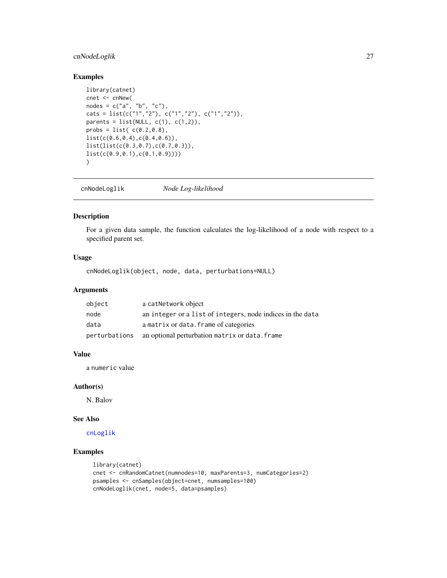### <span id="page-26-0"></span>cnNodeLoglik 27

### Examples

```
library(catnet)
cnet <- cnNew(
nodes = c("a", "b", "c"),cats = list(c("1","2"), c("1","2"), c("1","2")),
parents = list(NULL, c(1), c(1,2)),probs = list( c(0.2, 0.8),list(c(0.6,0.4),c(0.4,0.6)),
list(list(c(0.3,0.7),c(0.7,0.3)),
list(c(0.9,0.1),c(0.1,0.9))))
)
```
<span id="page-26-1"></span>cnNodeLoglik *Node Log-likelihood*

### Description

For a given data sample, the function calculates the log-likelihood of a node with respect to a specified parent set.

### Usage

cnNodeLoglik(object, node, data, perturbations=NULL)

### Arguments

| object | a catNetwork object                                          |
|--------|--------------------------------------------------------------|
| node   | an integer or a list of integers, node indices in the data   |
| data   | a matrix or data. frame of categories                        |
|        | perturbations an optional perturbation matrix or data. frame |

### Value

a numeric value

#### Author(s)

N. Balov

### See Also

[cnLoglik](#page-22-1)

```
library(catnet)
cnet <- cnRandomCatnet(numnodes=10, maxParents=3, numCategories=2)
psamples <- cnSamples(object=cnet, numsamples=100)
cnNodeLoglik(cnet, node=5, data=psamples)
```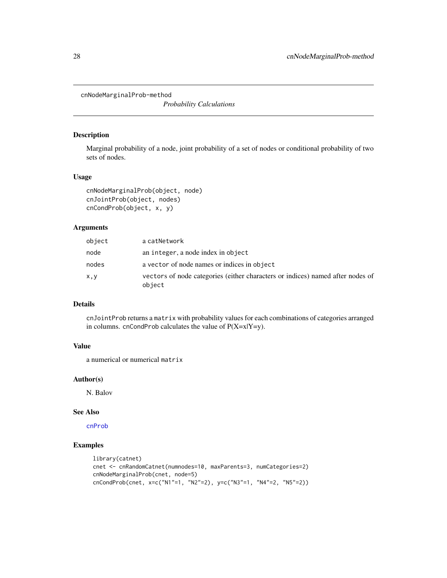<span id="page-27-0"></span>cnNodeMarginalProb-method

*Probability Calculations*

#### Description

Marginal probability of a node, joint probability of a set of nodes or conditional probability of two sets of nodes.

### Usage

```
cnNodeMarginalProb(object, node)
cnJointProb(object, nodes)
cnCondProb(object, x, y)
```
#### Arguments

| object | a catNetwork                                                                             |
|--------|------------------------------------------------------------------------------------------|
| node   | an integer, a node index in object                                                       |
| nodes  | a vector of node names or indices in object                                              |
| x,y    | vectors of node categories (either characters or indices) named after nodes of<br>object |

### Details

cnJointProb returns a matrix with probability values for each combinations of categories arranged in columns. cnCondProb calculates the value of  $P(X=x|Y=y)$ .

### Value

a numerical or numerical matrix

#### Author(s)

N. Balov

#### See Also

[cnProb](#page-35-1)

```
library(catnet)
cnet <- cnRandomCatnet(numnodes=10, maxParents=3, numCategories=2)
cnNodeMarginalProb(cnet, node=5)
cnCondProb(cnet, x=c("N1"=1, "N2"=2), y=c("N3"=1, "N4"=2, "N5"=2))
```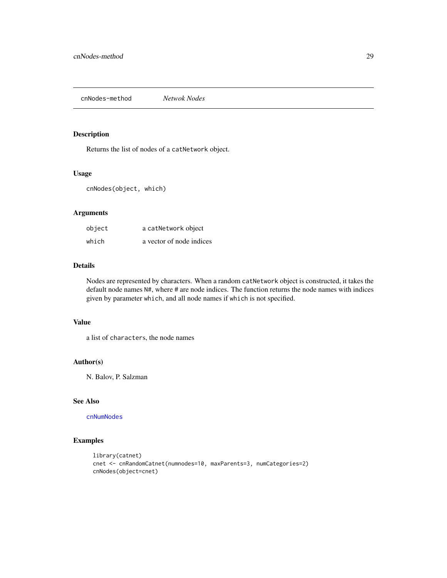<span id="page-28-0"></span>cnNodes-method *Netwok Nodes*

#### <span id="page-28-1"></span>Description

Returns the list of nodes of a catNetwork object.

#### Usage

cnNodes(object, which)

### Arguments

| object | a catNetwork object      |
|--------|--------------------------|
| which  | a vector of node indices |

### Details

Nodes are represented by characters. When a random catNetwork object is constructed, it takes the default node names N#, where # are node indices. The function returns the node names with indices given by parameter which, and all node names if which is not specified.

### Value

a list of characters, the node names

### Author(s)

N. Balov, P. Salzman

### See Also

[cnNumNodes](#page-30-1)

```
library(catnet)
cnet <- cnRandomCatnet(numnodes=10, maxParents=3, numCategories=2)
cnNodes(object=cnet)
```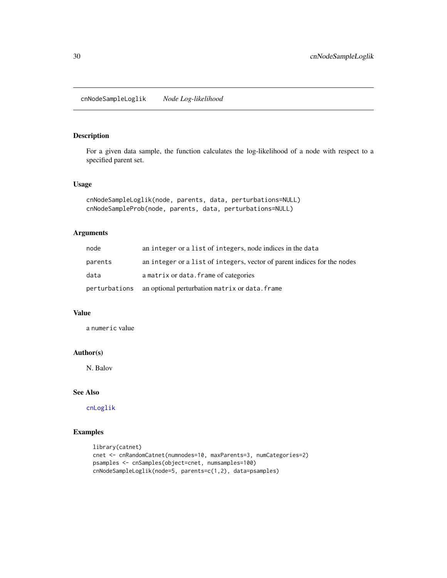<span id="page-29-0"></span>For a given data sample, the function calculates the log-likelihood of a node with respect to a specified parent set.

### Usage

```
cnNodeSampleLoglik(node, parents, data, perturbations=NULL)
cnNodeSampleProb(node, parents, data, perturbations=NULL)
```
### Arguments

| node          | an integer or a list of integers, node indices in the data               |
|---------------|--------------------------------------------------------------------------|
| parents       | an integer or a list of integers, vector of parent indices for the nodes |
| data          | a matrix or data. frame of categories                                    |
| perturbations | an optional perturbation matrix or data. frame                           |

### Value

a numeric value

### Author(s)

N. Balov

### See Also

[cnLoglik](#page-22-1)

```
library(catnet)
cnet <- cnRandomCatnet(numnodes=10, maxParents=3, numCategories=2)
psamples <- cnSamples(object=cnet, numsamples=100)
cnNodeSampleLoglik(node=5, parents=c(1,2), data=psamples)
```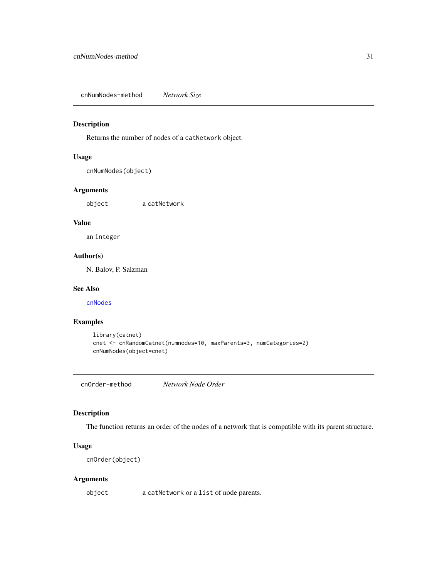<span id="page-30-0"></span>cnNumNodes-method *Network Size*

### <span id="page-30-1"></span>Description

Returns the number of nodes of a catNetwork object.

### Usage

cnNumNodes(object)

### Arguments

object a catNetwork

### Value

an integer

### Author(s)

N. Balov, P. Salzman

### See Also

[cnNodes](#page-28-1)

### Examples

```
library(catnet)
cnet <- cnRandomCatnet(numnodes=10, maxParents=3, numCategories=2)
cnNumNodes(object=cnet)
```
cnOrder-method *Network Node Order*

### Description

The function returns an order of the nodes of a network that is compatible with its parent structure.

### Usage

```
cnOrder(object)
```
### Arguments

object a catNetwork or a list of node parents.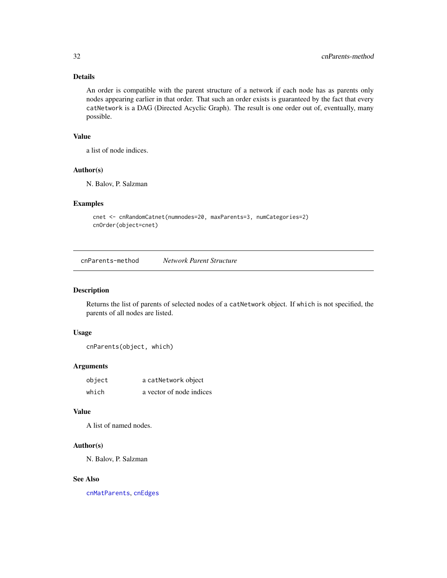### Details

An order is compatible with the parent structure of a network if each node has as parents only nodes appearing earlier in that order. That such an order exists is guaranteed by the fact that every catNetwork is a DAG (Directed Acyclic Graph). The result is one order out of, eventually, many possible.

### Value

a list of node indices.

### Author(s)

N. Balov, P. Salzman

### Examples

```
cnet <- cnRandomCatnet(numnodes=20, maxParents=3, numCategories=2)
cnOrder(object=cnet)
```
cnParents-method *Network Parent Structure*

#### <span id="page-31-1"></span>Description

Returns the list of parents of selected nodes of a catNetwork object. If which is not specified, the parents of all nodes are listed.

#### Usage

cnParents(object, which)

### Arguments

| object | a catNetwork object      |
|--------|--------------------------|
| which  | a vector of node indices |

#### Value

A list of named nodes.

### Author(s)

N. Balov, P. Salzman

### See Also

[cnMatParents](#page-24-1), [cnEdges](#page-17-1)

<span id="page-31-0"></span>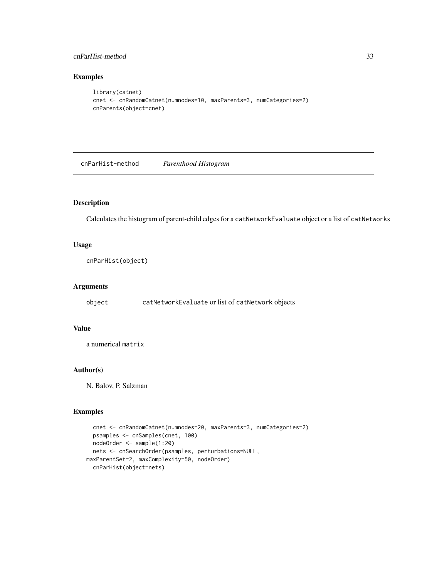### <span id="page-32-0"></span>cnParHist-method 33

### Examples

```
library(catnet)
cnet <- cnRandomCatnet(numnodes=10, maxParents=3, numCategories=2)
cnParents(object=cnet)
```
cnParHist-method *Parenthood Histogram*

### <span id="page-32-1"></span>Description

Calculates the histogram of parent-child edges for a catNetworkEvaluate object or a list of catNetworks

### Usage

cnParHist(object)

### Arguments

object catNetworkEvaluate or list of catNetwork objects

### Value

a numerical matrix

### Author(s)

N. Balov, P. Salzman

```
cnet <- cnRandomCatnet(numnodes=20, maxParents=3, numCategories=2)
  psamples <- cnSamples(cnet, 100)
  nodeOrder <- sample(1:20)
  nets <- cnSearchOrder(psamples, perturbations=NULL,
maxParentSet=2, maxComplexity=50, nodeOrder)
  cnParHist(object=nets)
```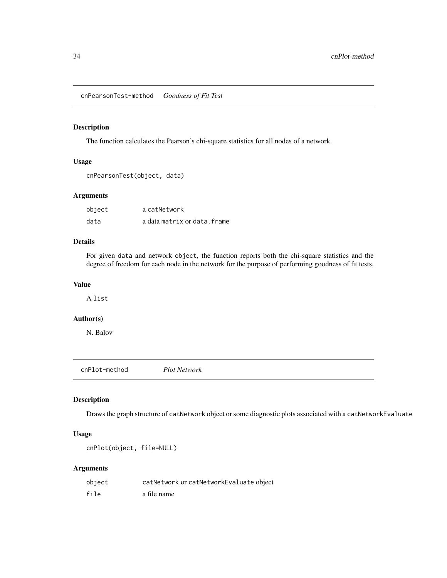<span id="page-33-0"></span>cnPearsonTest-method *Goodness of Fit Test*

### Description

The function calculates the Pearson's chi-square statistics for all nodes of a network.

### Usage

```
cnPearsonTest(object, data)
```
### Arguments

| object | a catNetwork                 |
|--------|------------------------------|
| data   | a data matrix or data. frame |

### Details

For given data and network object, the function reports both the chi-square statistics and the degree of freedom for each node in the network for the purpose of performing goodness of fit tests.

### Value

A list

### Author(s)

N. Balov

cnPlot-method *Plot Network*

### <span id="page-33-1"></span>Description

Draws the graph structure of catNetwork object or some diagnostic plots associated with a catNetworkEvaluate

### Usage

```
cnPlot(object, file=NULL)
```
### Arguments

| object | catNetwork or catNetworkEvaluate object |
|--------|-----------------------------------------|
| file   | a file name                             |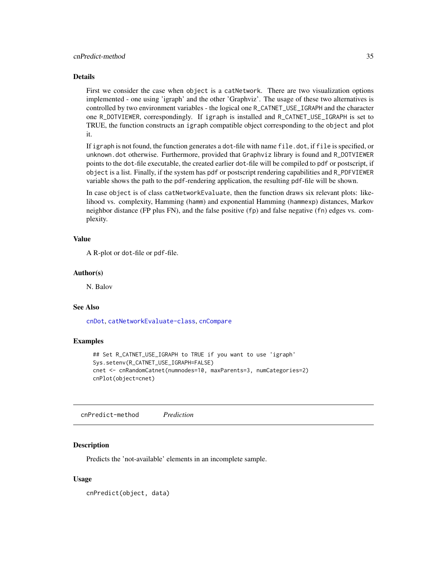#### <span id="page-34-0"></span>Details

First we consider the case when object is a catNetwork. There are two visualization options implemented - one using 'igraph' and the other 'Graphviz'. The usage of these two alternatives is controlled by two environment variables - the logical one R\_CATNET\_USE\_IGRAPH and the character one R\_DOTVIEWER, correspondingly. If igraph is installed and R\_CATNET\_USE\_IGRAPH is set to TRUE, the function constructs an igraph compatible object corresponding to the object and plot it.

If igraph is not found, the function generates a dot-file with name file.dot, if file is specified, or unknown.dot otherwise. Furthermore, provided that Graphviz library is found and R\_DOTVIEWER points to the dot-file executable, the created earlier dot-file will be compiled to pdf or postscript, if object is a list. Finally, if the system has pdf or postscript rendering capabilities and R\_PDFVIEWER variable shows the path to the pdf-rendering application, the resulting pdf-file will be shown.

In case object is of class catNetworkEvaluate, then the function draws six relevant plots: likelihood vs. complexity, Hamming (hamm) and exponential Hamming (hammexp) distances, Markov neighbor distance (FP plus FN), and the false positive (fp) and false negative (fn) edges vs. complexity.

#### Value

A R-plot or dot-file or pdf-file.

#### Author(s)

N. Balov

### See Also

[cnDot](#page-15-1), [catNetworkEvaluate-class](#page-7-1), [cnCompare](#page-12-1)

#### Examples

```
## Set R_CATNET_USE_IGRAPH to TRUE if you want to use 'igraph'
Sys.setenv(R_CATNET_USE_IGRAPH=FALSE)
cnet <- cnRandomCatnet(numnodes=10, maxParents=3, numCategories=2)
cnPlot(object=cnet)
```
cnPredict-method *Prediction*

#### <span id="page-34-1"></span>Description

Predicts the 'not-available' elements in an incomplete sample.

#### Usage

cnPredict(object, data)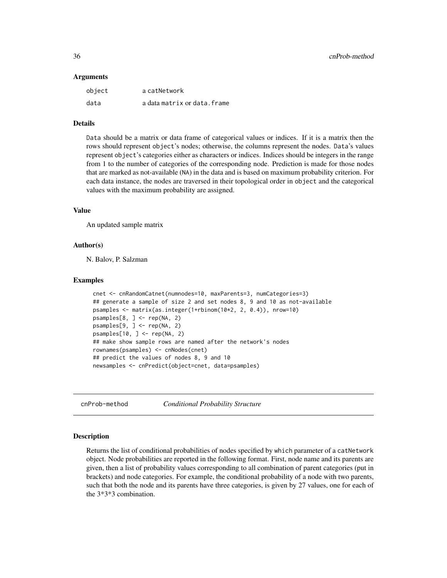#### <span id="page-35-0"></span>Arguments

| object | a catNetwork                 |
|--------|------------------------------|
| data   | a data matrix or data. frame |

#### Details

Data should be a matrix or data frame of categorical values or indices. If it is a matrix then the rows should represent object's nodes; otherwise, the columns represent the nodes. Data's values represent object's categories either as characters or indices. Indices should be integers in the range from 1 to the number of categories of the corresponding node. Prediction is made for those nodes that are marked as not-available (NA) in the data and is based on maximum probability criterion. For each data instance, the nodes are traversed in their topological order in object and the categorical values with the maximum probability are assigned.

#### Value

An updated sample matrix

#### Author(s)

N. Balov, P. Salzman

#### Examples

```
cnet <- cnRandomCatnet(numnodes=10, maxParents=3, numCategories=3)
## generate a sample of size 2 and set nodes 8, 9 and 10 as not-available
psamples <- matrix(as.integer(1+rbinom(10*2, 2, 0.4)), nrow=10)
psamples[8, ] \leftarrow rep(NA, 2)psamples[9, ] <- rep(NA, 2)
psamples[10, ] <- rep(NA, 2)
## make show sample rows are named after the network's nodes
rownames(psamples) <- cnNodes(cnet)
## predict the values of nodes 8, 9 and 10
newsamples <- cnPredict(object=cnet, data=psamples)
```
cnProb-method *Conditional Probability Structure*

#### <span id="page-35-1"></span>Description

Returns the list of conditional probabilities of nodes specified by which parameter of a catNetwork object. Node probabilities are reported in the following format. First, node name and its parents are given, then a list of probability values corresponding to all combination of parent categories (put in brackets) and node categories. For example, the conditional probability of a node with two parents, such that both the node and its parents have three categories, is given by 27 values, one for each of the 3\*3\*3 combination.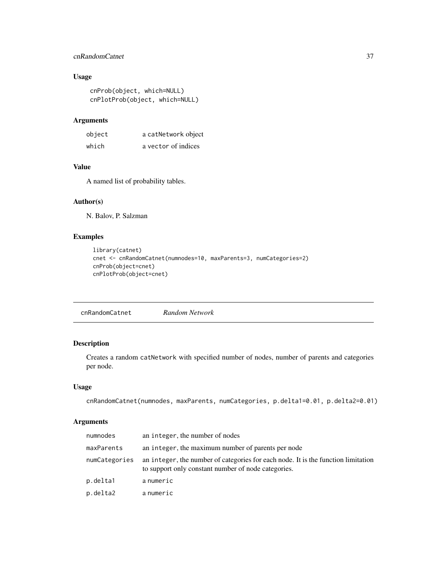### <span id="page-36-0"></span>cnRandomCatnet 37

### Usage

```
cnProb(object, which=NULL)
cnPlotProb(object, which=NULL)
```
### Arguments

| object | a catNetwork object |
|--------|---------------------|
| which  | a vector of indices |

### Value

A named list of probability tables.

### Author(s)

N. Balov, P. Salzman

### Examples

```
library(catnet)
cnet <- cnRandomCatnet(numnodes=10, maxParents=3, numCategories=2)
cnProb(object=cnet)
cnPlotProb(object=cnet)
```
<span id="page-36-1"></span>cnRandomCatnet *Random Network*

### Description

Creates a random catNetwork with specified number of nodes, number of parents and categories per node.

#### Usage

```
cnRandomCatnet(numnodes, maxParents, numCategories, p.delta1=0.01, p.delta2=0.01)
```
### Arguments

| numnodes      | an integer, the number of nodes                                                                                                          |
|---------------|------------------------------------------------------------------------------------------------------------------------------------------|
| maxParents    | an integer, the maximum number of parents per node                                                                                       |
| numCategories | an integer, the number of categories for each node. It is the function limitation<br>to support only constant number of node categories. |
| p.delta1      | a numeric                                                                                                                                |
| p.delta2      | a numeric                                                                                                                                |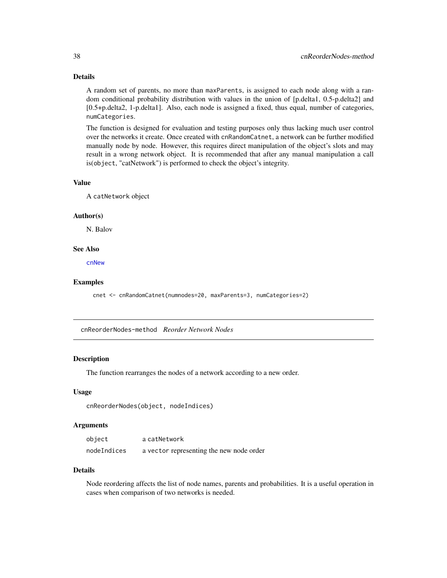### <span id="page-37-0"></span>Details

A random set of parents, no more than maxParents, is assigned to each node along with a random conditional probability distribution with values in the union of [p.delta1, 0.5-p.delta2] and [0.5+p.delta2, 1-p.delta1]. Also, each node is assigned a fixed, thus equal, number of categories, numCategories.

The function is designed for evaluation and testing purposes only thus lacking much user control over the networks it create. Once created with cnRandomCatnet, a network can be further modified manually node by node. However, this requires direct manipulation of the object's slots and may result in a wrong network object. It is recommended that after any manual manipulation a call is(object, "catNetwork") is performed to check the object's integrity.

#### Value

A catNetwork object

#### Author(s)

N. Balov

### See Also

[cnNew](#page-25-1)

#### Examples

```
cnet <- cnRandomCatnet(numnodes=20, maxParents=3, numCategories=2)
```
cnReorderNodes-method *Reorder Network Nodes*

#### Description

The function rearranges the nodes of a network according to a new order.

#### Usage

```
cnReorderNodes(object, nodeIndices)
```
### Arguments

| object      | a catNetwork                             |
|-------------|------------------------------------------|
| nodeIndices | a vector representing the new node order |

### Details

Node reordering affects the list of node names, parents and probabilities. It is a useful operation in cases when comparison of two networks is needed.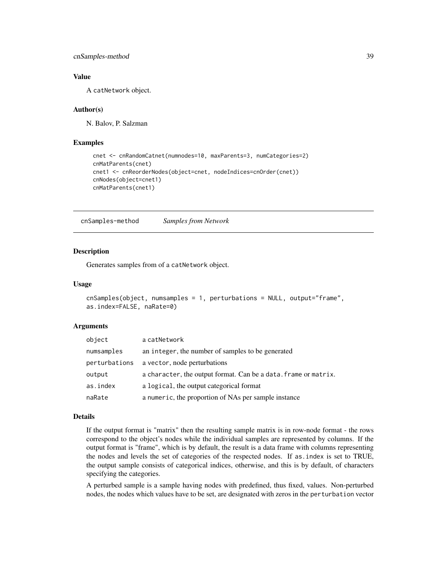### <span id="page-38-0"></span>cnSamples-method 39

### Value

A catNetwork object.

#### Author(s)

N. Balov, P. Salzman

### Examples

```
cnet <- cnRandomCatnet(numnodes=10, maxParents=3, numCategories=2)
cnMatParents(cnet)
cnet1 <- cnReorderNodes(object=cnet, nodeIndices=cnOrder(cnet))
cnNodes(object=cnet1)
cnMatParents(cnet1)
```
cnSamples-method *Samples from Network*

#### <span id="page-38-1"></span>Description

Generates samples from of a catNetwork object.

### Usage

```
cnSamples(object, numsamples = 1, perturbations = NULL, output="frame",
as.index=FALSE, naRate=0)
```
#### Arguments

| object        | a catNetwork                                                    |
|---------------|-----------------------------------------------------------------|
| numsamples    | an integer, the number of samples to be generated               |
| perturbations | a vector, node perturbations                                    |
| output        | a character, the output format. Can be a data. frame or matrix. |
| as.index      | a logical, the output categorical format                        |
| naRate        | a numeric, the proportion of NAs per sample instance            |

#### Details

If the output format is "matrix" then the resulting sample matrix is in row-node format - the rows correspond to the object's nodes while the individual samples are represented by columns. If the output format is "frame", which is by default, the result is a data frame with columns representing the nodes and levels the set of categories of the respected nodes. If as.index is set to TRUE, the output sample consists of categorical indices, otherwise, and this is by default, of characters specifying the categories.

A perturbed sample is a sample having nodes with predefined, thus fixed, values. Non-perturbed nodes, the nodes which values have to be set, are designated with zeros in the perturbation vector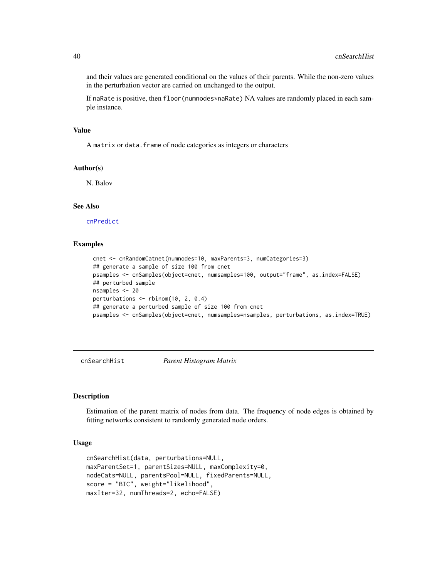and their values are generated conditional on the values of their parents. While the non-zero values in the perturbation vector are carried on unchanged to the output.

If naRate is positive, then floor(numnodes\*naRate) NA values are randomly placed in each sample instance.

#### Value

A matrix or data.frame of node categories as integers or characters

### Author(s)

N. Balov

#### See Also

[cnPredict](#page-34-1)

### Examples

```
cnet <- cnRandomCatnet(numnodes=10, maxParents=3, numCategories=3)
## generate a sample of size 100 from cnet
psamples <- cnSamples(object=cnet, numsamples=100, output="frame", as.index=FALSE)
## perturbed sample
nsamples <- 20
perturbations <- rbinom(10, 2, 0.4)
## generate a perturbed sample of size 100 from cnet
psamples <- cnSamples(object=cnet, numsamples=nsamples, perturbations, as.index=TRUE)
```
cnSearchHist *Parent Histogram Matrix*

#### Description

Estimation of the parent matrix of nodes from data. The frequency of node edges is obtained by fitting networks consistent to randomly generated node orders.

#### Usage

```
cnSearchHist(data, perturbations=NULL,
maxParentSet=1, parentSizes=NULL, maxComplexity=0,
nodeCats=NULL, parentsPool=NULL, fixedParents=NULL,
score = "BIC", weight="likelihood",
maxIter=32, numThreads=2, echo=FALSE)
```
<span id="page-39-0"></span>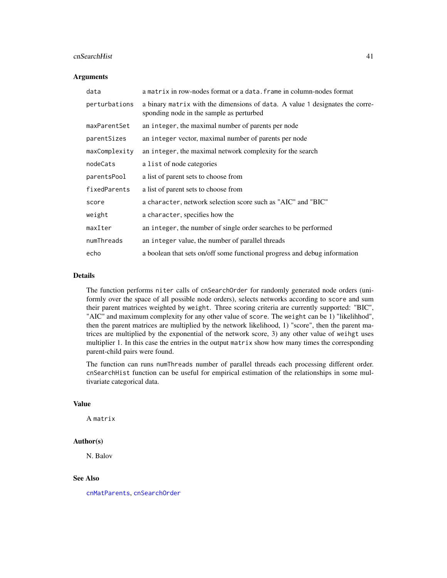#### <span id="page-40-0"></span>cnSearchHist 41

#### Arguments

| data          | a matrix in row-nodes format or a data. frame in column-nodes format                                                     |
|---------------|--------------------------------------------------------------------------------------------------------------------------|
| perturbations | a binary matrix with the dimensions of data. A value 1 designates the corre-<br>sponding node in the sample as perturbed |
| maxParentSet  | an integer, the maximal number of parents per node                                                                       |
| parentSizes   | an integer vector, maximal number of parents per node                                                                    |
| maxComplexity | an integer, the maximal network complexity for the search                                                                |
| nodeCats      | a list of node categories                                                                                                |
| parentsPool   | a list of parent sets to choose from                                                                                     |
| fixedParents  | a list of parent sets to choose from                                                                                     |
| score         | a character, network selection score such as "AIC" and "BIC"                                                             |
| weight        | a character, specifies how the                                                                                           |
| maxIter       | an integer, the number of single order searches to be performed                                                          |
| numThreads    | an integer value, the number of parallel threads                                                                         |
| echo          | a boolean that sets on/off some functional progress and debug information                                                |

#### Details

The function performs niter calls of cnSearchOrder for randomly generated node orders (uniformly over the space of all possible node orders), selects networks according to score and sum their parent matrices weighted by weight. Three scoring criteria are currently supported: "BIC", "AIC" and maximum complexity for any other value of score. The weight can be 1) "likelihhod", then the parent matrices are multiplied by the network likelihood, 1) "score", then the parent matrices are multiplied by the exponential of the network score, 3) any other value of weihgt uses multiplier 1. In this case the entries in the output matrix show how many times the corresponding parent-child pairs were found.

The function can runs numThreads number of parallel threads each processing different order. cnSearchHist function can be useful for empirical estimation of the relationships in some multivariate categorical data.

#### Value

A matrix

#### Author(s)

N. Balov

#### See Also

[cnMatParents](#page-24-1), [cnSearchOrder](#page-41-1)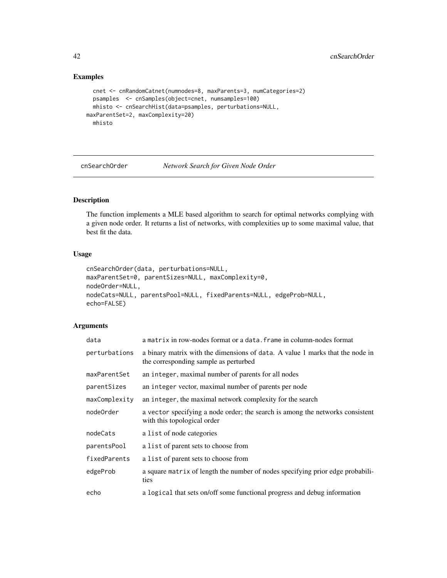### Examples

```
cnet <- cnRandomCatnet(numnodes=8, maxParents=3, numCategories=2)
 psamples <- cnSamples(object=cnet, numsamples=100)
 mhisto <- cnSearchHist(data=psamples, perturbations=NULL,
maxParentSet=2, maxComplexity=20)
 mhisto
```
<span id="page-41-1"></span>cnSearchOrder *Network Search for Given Node Order*

### Description

The function implements a MLE based algorithm to search for optimal networks complying with a given node order. It returns a list of networks, with complexities up to some maximal value, that best fit the data.

### Usage

```
cnSearchOrder(data, perturbations=NULL,
maxParentSet=0, parentSizes=NULL, maxComplexity=0,
nodeOrder=NULL,
nodeCats=NULL, parentsPool=NULL, fixedParents=NULL, edgeProb=NULL,
echo=FALSE)
```
### Arguments

| data          | a matrix in row-nodes format or a data. frame in column-nodes format                                                   |
|---------------|------------------------------------------------------------------------------------------------------------------------|
| perturbations | a binary matrix with the dimensions of data. A value 1 marks that the node in<br>the corresponding sample as perturbed |
| maxParentSet  | an integer, maximal number of parents for all nodes                                                                    |
| parentSizes   | an integer vector, maximal number of parents per node                                                                  |
| maxComplexity | an integer, the maximal network complexity for the search                                                              |
| node0rder     | a vector specifying a node order; the search is among the networks consistent<br>with this topological order           |
| nodeCats      | a list of node categories                                                                                              |
| parentsPool   | a list of parent sets to choose from                                                                                   |
| fixedParents  | a list of parent sets to choose from                                                                                   |
| edgeProb      | a square matrix of length the number of nodes specifying prior edge probabili-<br>ties                                 |
| echo          | a logical that sets on/off some functional progress and debug information                                              |

<span id="page-41-0"></span>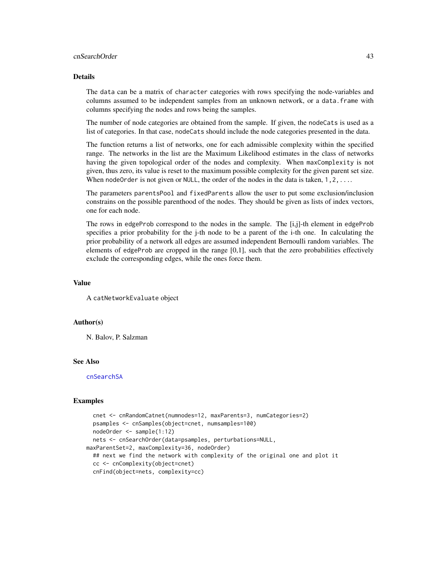#### <span id="page-42-0"></span>cnSearchOrder 43

#### Details

The data can be a matrix of character categories with rows specifying the node-variables and columns assumed to be independent samples from an unknown network, or a data.frame with columns specifying the nodes and rows being the samples.

The number of node categories are obtained from the sample. If given, the nodeCats is used as a list of categories. In that case, nodeCats should include the node categories presented in the data.

The function returns a list of networks, one for each admissible complexity within the specified range. The networks in the list are the Maximum Likelihood estimates in the class of networks having the given topological order of the nodes and complexity. When maxComplexity is not given, thus zero, its value is reset to the maximum possible complexity for the given parent set size. When nodeOrder is not given or NULL, the order of the nodes in the data is taken,  $1, 2, \ldots$ .

The parameters parentsPool and fixedParents allow the user to put some exclusion/inclusion constrains on the possible parenthood of the nodes. They should be given as lists of index vectors, one for each node.

The rows in edgeProb correspond to the nodes in the sample. The [i,j]-th element in edgeProb specifies a prior probability for the j-th node to be a parent of the i-th one. In calculating the prior probability of a network all edges are assumed independent Bernoulli random variables. The elements of edgeProb are cropped in the range [0,1], such that the zero probabilities effectively exclude the corresponding edges, while the ones force them.

#### Value

A catNetworkEvaluate object

#### Author(s)

N. Balov, P. Salzman

### See Also

[cnSearchSA](#page-43-1)

```
cnet <- cnRandomCatnet(numnodes=12, maxParents=3, numCategories=2)
 psamples <- cnSamples(object=cnet, numsamples=100)
 nodeOrder <- sample(1:12)
 nets <- cnSearchOrder(data=psamples, perturbations=NULL,
maxParentSet=2, maxComplexity=36, nodeOrder)
 ## next we find the network with complexity of the original one and plot it
 cc <- cnComplexity(object=cnet)
 cnFind(object=nets, complexity=cc)
```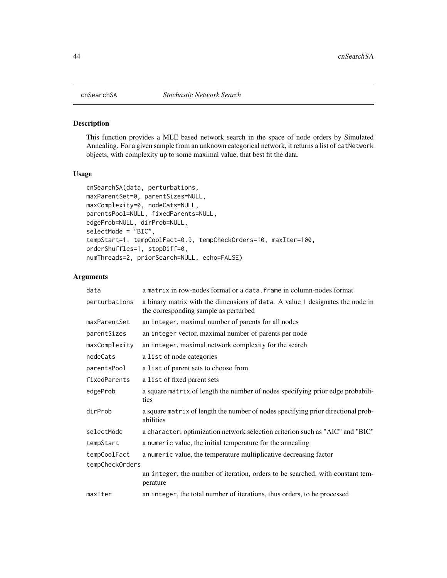<span id="page-43-1"></span><span id="page-43-0"></span>

This function provides a MLE based network search in the space of node orders by Simulated Annealing. For a given sample from an unknown categorical network, it returns a list of catNetwork objects, with complexity up to some maximal value, that best fit the data.

### Usage

```
cnSearchSA(data, perturbations,
maxParentSet=0, parentSizes=NULL,
maxComplexity=0, nodeCats=NULL,
parentsPool=NULL, fixedParents=NULL,
edgeProb=NULL, dirProb=NULL,
selectMode = "BIC",
tempStart=1, tempCoolFact=0.9, tempCheckOrders=10, maxIter=100,
orderShuffles=1, stopDiff=0,
numThreads=2, priorSearch=NULL, echo=FALSE)
```
### Arguments

| data            | a matrix in row-nodes format or a data. frame in column-nodes format                                                   |
|-----------------|------------------------------------------------------------------------------------------------------------------------|
| perturbations   | a binary matrix with the dimensions of data. A value 1 designates the node in<br>the corresponding sample as perturbed |
| maxParentSet    | an integer, maximal number of parents for all nodes                                                                    |
| parentSizes     | an integer vector, maximal number of parents per node                                                                  |
| maxComplexity   | an integer, maximal network complexity for the search                                                                  |
| nodeCats        | a list of node categories                                                                                              |
| parentsPool     | a list of parent sets to choose from                                                                                   |
| fixedParents    | a list of fixed parent sets                                                                                            |
| edgeProb        | a square matrix of length the number of nodes specifying prior edge probabili-<br>ties                                 |
| dirProb         | a square matrix of length the number of nodes specifying prior directional prob-<br>abilities                          |
| selectMode      | a character, optimization network selection criterion such as "AIC" and "BIC"                                          |
| tempStart       | a numeric value, the initial temperature for the annealing                                                             |
| tempCoolFact    | a numeric value, the temperature multiplicative decreasing factor                                                      |
| tempCheckOrders |                                                                                                                        |
|                 | an integer, the number of iteration, orders to be searched, with constant tem-<br>perature                             |
| maxIter         | an integer, the total number of iterations, thus orders, to be processed                                               |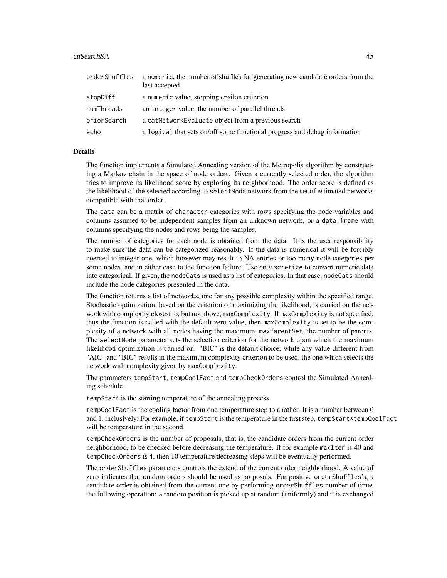#### cnSearchSA 45

| orderShuffles | a numeric, the number of shuffles for generating new candidate orders from the<br>last accepted |
|---------------|-------------------------------------------------------------------------------------------------|
| stopDiff      | a numeric value, stopping epsilon criterion                                                     |
| numThreads    | an integer value, the number of parallel threads                                                |
| priorSearch   | a catNetworkEvaluate object from a previous search                                              |
| echo          | a logical that sets on/off some functional progress and debug information                       |

#### Details

The function implements a Simulated Annealing version of the Metropolis algorithm by constructing a Markov chain in the space of node orders. Given a currently selected order, the algorithm tries to improve its likelihood score by exploring its neighborhood. The order score is defined as the likelihood of the selected according to selectMode network from the set of estimated networks compatible with that order.

The data can be a matrix of character categories with rows specifying the node-variables and columns assumed to be independent samples from an unknown network, or a data.frame with columns specifying the nodes and rows being the samples.

The number of categories for each node is obtained from the data. It is the user responsibility to make sure the data can be categorized reasonably. If the data is numerical it will be forcibly coerced to integer one, which however may result to NA entries or too many node categories per some nodes, and in either case to the function failure. Use cnDiscretize to convert numeric data into categorical. If given, the nodeCats is used as a list of categories. In that case, nodeCats should include the node categories presented in the data.

The function returns a list of networks, one for any possible complexity within the specified range. Stochastic optimization, based on the criterion of maximizing the likelihood, is carried on the network with complexity closest to, but not above, maxComplexity. If maxComplexity is not specified, thus the function is called with the default zero value, then maxComplexity is set to be the complexity of a network with all nodes having the maximum, maxParentSet, the number of parents. The selectMode parameter sets the selection criterion for the network upon which the maximum likelihood optimization is carried on. "BIC" is the default choice, while any value different from "AIC" and "BIC" results in the maximum complexity criterion to be used, the one which selects the network with complexity given by maxComplexity.

The parameters tempStart, tempCoolFact and tempCheckOrders control the Simulated Annealing schedule.

tempStart is the starting temperature of the annealing process.

tempCoolFact is the cooling factor from one temperature step to another. It is a number between 0 and 1, inclusively; For example, if tempStart is the temperature in the first step, tempStart\*tempCoolFact will be temperature in the second.

tempCheckOrders is the number of proposals, that is, the candidate orders from the current order neighborhood, to be checked before decreasing the temperature. If for example maxIter is 40 and tempCheckOrders is 4, then 10 temperature decreasing steps will be eventually performed.

The orderShuffles parameters controls the extend of the current order neighborhood. A value of zero indicates that random orders should be used as proposals. For positive orderShuffles's, a candidate order is obtained from the current one by performing orderShuffles number of times the following operation: a random position is picked up at random (uniformly) and it is exchanged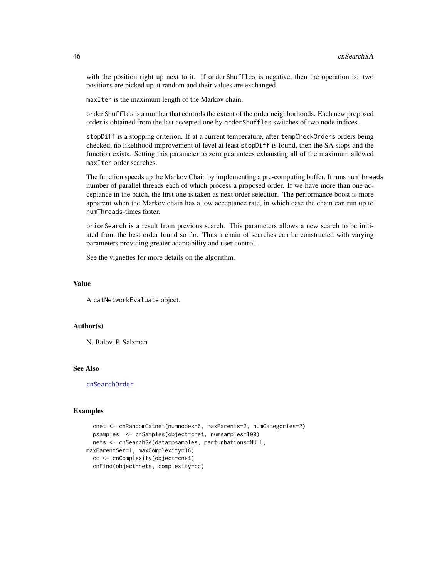with the position right up next to it. If orderShuffles is negative, then the operation is: two positions are picked up at random and their values are exchanged.

maxIter is the maximum length of the Markov chain.

orderShuffles is a number that controls the extent of the order neighborhoods. Each new proposed order is obtained from the last accepted one by orderShuffles switches of two node indices.

stopDiff is a stopping criterion. If at a current temperature, after tempCheckOrders orders being checked, no likelihood improvement of level at least stopDiff is found, then the SA stops and the function exists. Setting this parameter to zero guarantees exhausting all of the maximum allowed maxIter order searches.

The function speeds up the Markov Chain by implementing a pre-computing buffer. It runs numThreads number of parallel threads each of which process a proposed order. If we have more than one acceptance in the batch, the first one is taken as next order selection. The performance boost is more apparent when the Markov chain has a low acceptance rate, in which case the chain can run up to numThreads-times faster.

priorSearch is a result from previous search. This parameters allows a new search to be initiated from the best order found so far. Thus a chain of searches can be constructed with varying parameters providing greater adaptability and user control.

See the vignettes for more details on the algorithm.

### Value

A catNetworkEvaluate object.

### Author(s)

N. Balov, P. Salzman

#### See Also

[cnSearchOrder](#page-41-1)

```
cnet <- cnRandomCatnet(numnodes=6, maxParents=2, numCategories=2)
 psamples <- cnSamples(object=cnet, numsamples=100)
 nets <- cnSearchSA(data=psamples, perturbations=NULL,
maxParentSet=1, maxComplexity=16)
 cc <- cnComplexity(object=cnet)
 cnFind(object=nets, complexity=cc)
```
<span id="page-45-0"></span>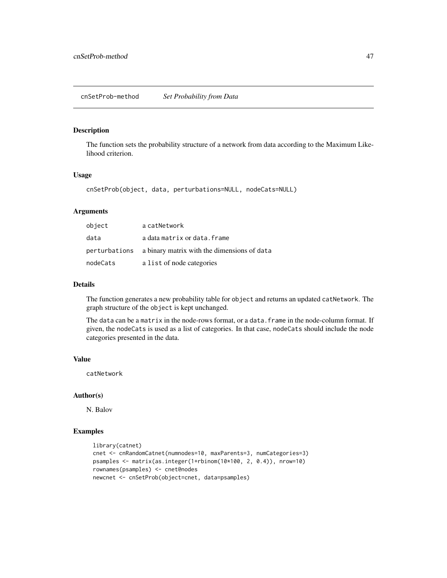<span id="page-46-1"></span><span id="page-46-0"></span>The function sets the probability structure of a network from data according to the Maximum Likelihood criterion.

#### Usage

cnSetProb(object, data, perturbations=NULL, nodeCats=NULL)

### Arguments

| object   | a catNetwork                                              |
|----------|-----------------------------------------------------------|
| data     | a data matrix or data. frame                              |
|          | perturbations a binary matrix with the dimensions of data |
| nodeCats | a list of node categories                                 |

#### Details

The function generates a new probability table for object and returns an updated catNetwork. The graph structure of the object is kept unchanged.

The data can be a matrix in the node-rows format, or a data. frame in the node-column format. If given, the nodeCats is used as a list of categories. In that case, nodeCats should include the node categories presented in the data.

#### Value

catNetwork

### Author(s)

N. Balov

```
library(catnet)
cnet <- cnRandomCatnet(numnodes=10, maxParents=3, numCategories=3)
psamples <- matrix(as.integer(1+rbinom(10*100, 2, 0.4)), nrow=10)
rownames(psamples) <- cnet@nodes
newcnet <- cnSetProb(object=cnet, data=psamples)
```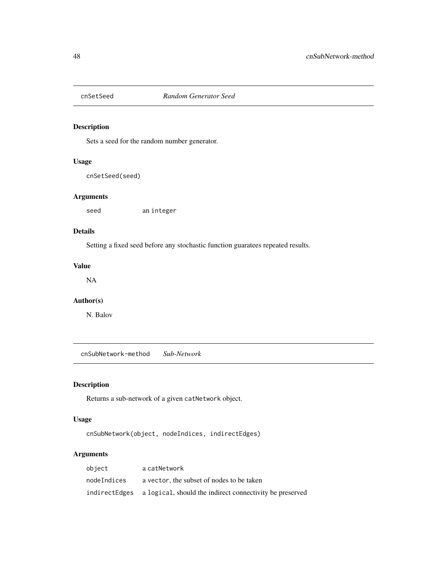<span id="page-47-0"></span>

Sets a seed for the random number generator.

### Usage

cnSetSeed(seed)

### Arguments

seed an integer

### Details

Setting a fixed seed before any stochastic function guaratees repeated results.

#### Value

NA

### Author(s)

N. Balov

cnSubNetwork-method *Sub-Network*

### Description

Returns a sub-network of a given catNetwork object.

### Usage

cnSubNetwork(object, nodeIndices, indirectEdges)

### Arguments

| object      | a catNetwork                                                            |
|-------------|-------------------------------------------------------------------------|
| nodeIndices | a vector, the subset of nodes to be taken                               |
|             | indirect Edges a logical, should the indirect connectivity be preserved |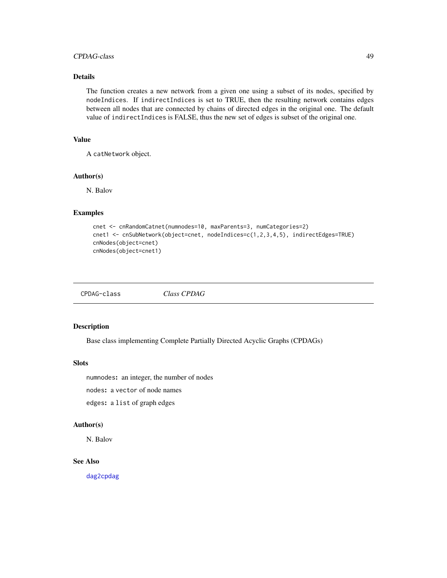### <span id="page-48-0"></span>CPDAG-class 49

### Details

The function creates a new network from a given one using a subset of its nodes, specified by nodeIndices. If indirectIndices is set to TRUE, then the resulting network contains edges between all nodes that are connected by chains of directed edges in the original one. The default value of indirectIndices is FALSE, thus the new set of edges is subset of the original one.

### Value

A catNetwork object.

### Author(s)

N. Balov

### Examples

```
cnet <- cnRandomCatnet(numnodes=10, maxParents=3, numCategories=2)
cnet1 <- cnSubNetwork(object=cnet, nodeIndices=c(1,2,3,4,5), indirectEdges=TRUE)
cnNodes(object=cnet)
cnNodes(object=cnet1)
```
CPDAG-class *Class CPDAG*

#### Description

Base class implementing Complete Partially Directed Acyclic Graphs (CPDAGs)

#### **Slots**

numnodes: an integer, the number of nodes

nodes: a vector of node names

edges: a list of graph edges

#### Author(s)

N. Balov

### See Also

[dag2cpdag](#page-49-1)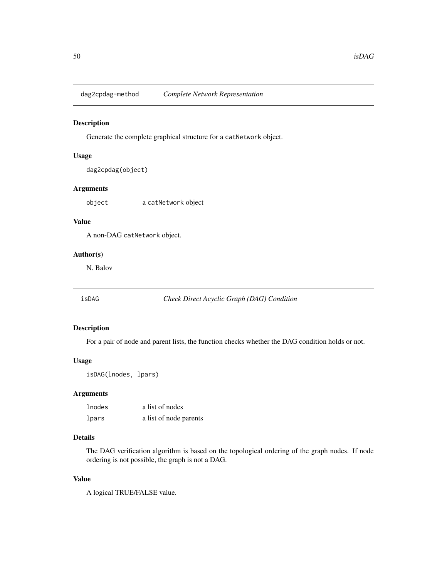<span id="page-49-0"></span>dag2cpdag-method *Complete Network Representation*

#### <span id="page-49-1"></span>Description

Generate the complete graphical structure for a catNetwork object.

### Usage

dag2cpdag(object)

### Arguments

object a catNetwork object

### Value

A non-DAG catNetwork object.

### Author(s)

N. Balov

isDAG *Check Direct Acyclic Graph (DAG) Condition*

### Description

For a pair of node and parent lists, the function checks whether the DAG condition holds or not.

### Usage

isDAG(lnodes, lpars)

### Arguments

| lnodes | a list of nodes        |
|--------|------------------------|
| lpars  | a list of node parents |

### Details

The DAG verification algorithm is based on the topological ordering of the graph nodes. If node ordering is not possible, the graph is not a DAG.

### Value

A logical TRUE/FALSE value.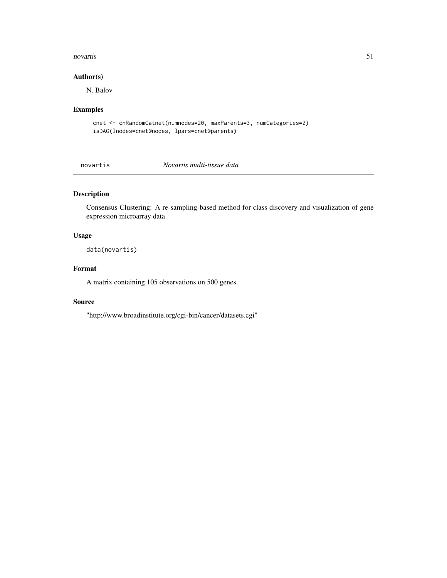#### <span id="page-50-0"></span>novartis 51

### Author(s)

N. Balov

### Examples

cnet <- cnRandomCatnet(numnodes=20, maxParents=3, numCategories=2) isDAG(lnodes=cnet@nodes, lpars=cnet@parents)

novartis *Novartis multi-tissue data*

### Description

Consensus Clustering: A re-sampling-based method for class discovery and visualization of gene expression microarray data

### Usage

data(novartis)

### Format

A matrix containing 105 observations on 500 genes.

#### Source

"http://www.broadinstitute.org/cgi-bin/cancer/datasets.cgi"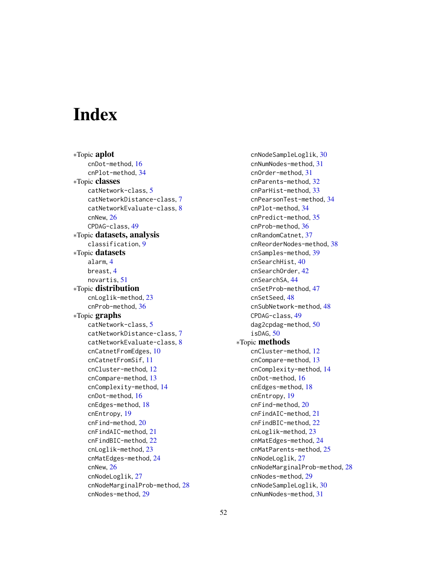# <span id="page-51-0"></span>**Index**

∗Topic aplot cnDot-method, [16](#page-15-0) cnPlot-method, [34](#page-33-0) ∗Topic classes catNetwork-class, [5](#page-4-0) catNetworkDistance-class, [7](#page-6-0) catNetworkEvaluate-class, [8](#page-7-0) cnNew, [26](#page-25-0) CPDAG-class, [49](#page-48-0) ∗Topic datasets, analysis classification, [9](#page-8-0) ∗Topic datasets alarm, [4](#page-3-0) breast, [4](#page-3-0) novartis, [51](#page-50-0) ∗Topic distribution cnLoglik-method, [23](#page-22-0) cnProb-method, [36](#page-35-0) ∗Topic graphs catNetwork-class, [5](#page-4-0) catNetworkDistance-class, [7](#page-6-0) catNetworkEvaluate-class, [8](#page-7-0) cnCatnetFromEdges, [10](#page-9-0) cnCatnetFromSif, [11](#page-10-0) cnCluster-method, [12](#page-11-0) cnCompare-method, [13](#page-12-0) cnComplexity-method, [14](#page-13-0) cnDot-method, [16](#page-15-0) cnEdges-method, [18](#page-17-0) cnEntropy, [19](#page-18-0) cnFind-method, [20](#page-19-0) cnFindAIC-method, [21](#page-20-0) cnFindBIC-method, [22](#page-21-0) cnLoglik-method, [23](#page-22-0) cnMatEdges-method, [24](#page-23-0) cnNew, [26](#page-25-0) cnNodeLoglik, [27](#page-26-0) cnNodeMarginalProb-method, [28](#page-27-0) cnNodes-method, [29](#page-28-0)

cnNodeSampleLoglik, [30](#page-29-0) cnNumNodes-method, [31](#page-30-0) cnOrder-method, [31](#page-30-0) cnParents-method, [32](#page-31-0) cnParHist-method, [33](#page-32-0) cnPearsonTest-method, [34](#page-33-0) cnPlot-method, [34](#page-33-0) cnPredict-method, [35](#page-34-0) cnProb-method, [36](#page-35-0) cnRandomCatnet, [37](#page-36-0) cnReorderNodes-method, [38](#page-37-0) cnSamples-method, [39](#page-38-0) cnSearchHist, [40](#page-39-0) cnSearchOrder, [42](#page-41-0) cnSearchSA, [44](#page-43-0) cnSetProb-method, [47](#page-46-0) cnSetSeed, [48](#page-47-0) cnSubNetwork-method, [48](#page-47-0) CPDAG-class, [49](#page-48-0) dag2cpdag-method, [50](#page-49-0) isDAG, [50](#page-49-0) ∗Topic methods cnCluster-method, [12](#page-11-0) cnCompare-method, [13](#page-12-0) cnComplexity-method, [14](#page-13-0) cnDot-method, [16](#page-15-0) cnEdges-method, [18](#page-17-0) cnEntropy, [19](#page-18-0) cnFind-method, [20](#page-19-0) cnFindAIC-method, [21](#page-20-0) cnFindBIC-method, [22](#page-21-0) cnLoglik-method, [23](#page-22-0) cnMatEdges-method, [24](#page-23-0) cnMatParents-method, [25](#page-24-0) cnNodeLoglik, [27](#page-26-0) cnNodeMarginalProb-method, [28](#page-27-0) cnNodes-method, [29](#page-28-0) cnNodeSampleLoglik, [30](#page-29-0) cnNumNodes-method, [31](#page-30-0)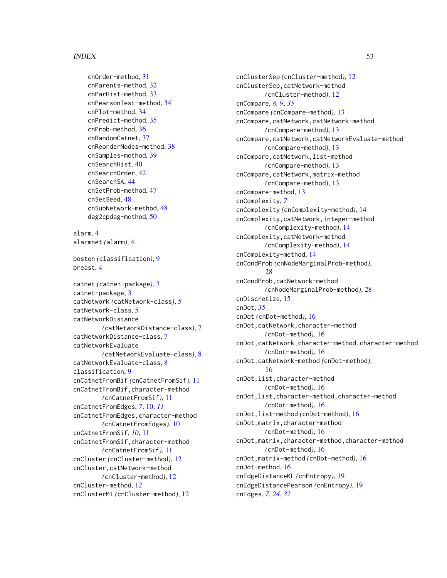#### $I<sub>N</sub>DEX$  53

```
cnOrder-method, 31
cnParents-method, 32
cnParHist-method, 33
cnPearsonTest-method, 34
cnPlot-method, 34
cnPredict-method, 35
cnProb-method, 36
cnRandomCatnet, 37
cnReorderNodes-method, 38
cnSamples-method, 39
cnSearchHist, 40
cnSearchOrder, 42
cnSearchSA, 44
cnSetProb-method, 47
cnSetSeed, 48
cnSubNetwork-method, 48
dag2cpdag-method, 50
```

```
alarm, 4
alarmnet (alarm), 4
```

```
boston (classification), 9
breast, 4
```
catnet *(*catnet-package*)*, [3](#page-2-0) catnet-package, [3](#page-2-0) catNetwork *(*catNetwork-class*)*, [5](#page-4-0) catNetwork-class, [5](#page-4-0) catNetworkDistance *(*catNetworkDistance-class*)*, [7](#page-6-0) catNetworkDistance-class, [7](#page-6-0) catNetworkEvaluate *(*catNetworkEvaluate-class*)*, [8](#page-7-0) catNetworkEvaluate-class, [8](#page-7-0) classification, [9](#page-8-0) cnCatnetFromBif *(*cnCatnetFromSif*)*, [11](#page-10-0) cnCatnetFromBif,character-method *(*cnCatnetFromSif*)*, [11](#page-10-0) cnCatnetFromEdges, *[7](#page-6-0)*, [10,](#page-9-0) *[11](#page-10-0)* cnCatnetFromEdges,character-method *(*cnCatnetFromEdges*)*, [10](#page-9-0) cnCatnetFromSif, *[10](#page-9-0)*, [11](#page-10-0) cnCatnetFromSif,character-method *(*cnCatnetFromSif*)*, [11](#page-10-0) cnCluster *(*cnCluster-method*)*, [12](#page-11-0) cnCluster,catNetwork-method *(*cnCluster-method*)*, [12](#page-11-0) cnCluster-method, [12](#page-11-0) cnClusterMI *(*cnCluster-method*)*, [12](#page-11-0)

cnClusterSep *(*cnCluster-method*)*, [12](#page-11-0) cnClusterSep,catNetwork-method *(*cnCluster-method*)*, [12](#page-11-0) cnCompare, *[8,](#page-7-0) [9](#page-8-0)*, *[35](#page-34-0)* cnCompare *(*cnCompare-method*)*, [13](#page-12-0) cnCompare,catNetwork,catNetwork-method *(*cnCompare-method*)*, [13](#page-12-0) cnCompare,catNetwork,catNetworkEvaluate-method *(*cnCompare-method*)*, [13](#page-12-0) cnCompare,catNetwork,list-method *(*cnCompare-method*)*, [13](#page-12-0) cnCompare,catNetwork,matrix-method *(*cnCompare-method*)*, [13](#page-12-0) cnCompare-method, [13](#page-12-0) cnComplexity, *[7](#page-6-0)* cnComplexity *(*cnComplexity-method*)*, [14](#page-13-0) cnComplexity,catNetwork,integer-method *(*cnComplexity-method*)*, [14](#page-13-0) cnComplexity,catNetwork-method *(*cnComplexity-method*)*, [14](#page-13-0) cnComplexity-method, [14](#page-13-0) cnCondProb *(*cnNodeMarginalProb-method*)*, [28](#page-27-0) cnCondProb,catNetwork-method *(*cnNodeMarginalProb-method*)*, [28](#page-27-0) cnDiscretize, [15](#page-14-0) cnDot, *[35](#page-34-0)* cnDot *(*cnDot-method*)*, [16](#page-15-0) cnDot,catNetwork,character-method *(*cnDot-method*)*, [16](#page-15-0) cnDot,catNetwork,character-method,character-method *(*cnDot-method*)*, [16](#page-15-0) cnDot,catNetwork-method *(*cnDot-method*)*, [16](#page-15-0) cnDot,list,character-method *(*cnDot-method*)*, [16](#page-15-0) cnDot,list,character-method,character-method *(*cnDot-method*)*, [16](#page-15-0) cnDot,list-method *(*cnDot-method*)*, [16](#page-15-0) cnDot,matrix,character-method *(*cnDot-method*)*, [16](#page-15-0) cnDot,matrix,character-method,character-method *(*cnDot-method*)*, [16](#page-15-0) cnDot,matrix-method *(*cnDot-method*)*, [16](#page-15-0) cnDot-method, [16](#page-15-0) cnEdgeDistanceKL *(*cnEntropy*)*, [19](#page-18-0) cnEdgeDistancePearson *(*cnEntropy*)*, [19](#page-18-0) cnEdges, *[7](#page-6-0)*, *[24](#page-23-0)*, *[32](#page-31-0)*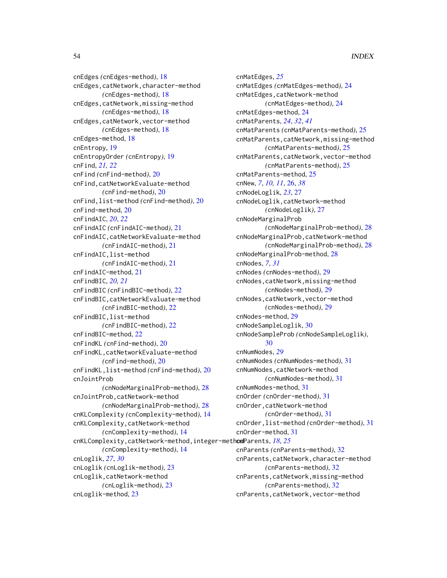cnEdges *(*cnEdges-method*)*, [18](#page-17-0) cnEdges,catNetwork,character-method *(*cnEdges-method*)*, [18](#page-17-0) cnEdges,catNetwork,missing-method *(*cnEdges-method*)*, [18](#page-17-0) cnEdges,catNetwork,vector-method *(*cnEdges-method*)*, [18](#page-17-0) cnEdges-method, [18](#page-17-0) cnEntropy, [19](#page-18-0) cnEntropyOrder *(*cnEntropy*)*, [19](#page-18-0) cnFind, *[21,](#page-20-0) [22](#page-21-0)* cnFind *(*cnFind-method*)*, [20](#page-19-0) cnFind,catNetworkEvaluate-method *(*cnFind-method*)*, [20](#page-19-0) cnFind,list-method *(*cnFind-method*)*, [20](#page-19-0) cnFind-method, [20](#page-19-0) cnFindAIC, *[20](#page-19-0)*, *[22](#page-21-0)* cnFindAIC *(*cnFindAIC-method*)*, [21](#page-20-0) cnFindAIC,catNetworkEvaluate-method *(*cnFindAIC-method*)*, [21](#page-20-0) cnFindAIC,list-method *(*cnFindAIC-method*)*, [21](#page-20-0) cnFindAIC-method, [21](#page-20-0) cnFindBIC, *[20,](#page-19-0) [21](#page-20-0)* cnFindBIC *(*cnFindBIC-method*)*, [22](#page-21-0) cnFindBIC,catNetworkEvaluate-method *(*cnFindBIC-method*)*, [22](#page-21-0) cnFindBIC,list-method *(*cnFindBIC-method*)*, [22](#page-21-0) cnFindBIC-method, [22](#page-21-0) cnFindKL *(*cnFind-method*)*, [20](#page-19-0) cnFindKL,catNetworkEvaluate-method *(*cnFind-method*)*, [20](#page-19-0) cnFindKL,list-method *(*cnFind-method*)*, [20](#page-19-0) cnJointProb *(*cnNodeMarginalProb-method*)*, [28](#page-27-0) cnJointProb,catNetwork-method *(*cnNodeMarginalProb-method*)*, [28](#page-27-0) cnKLComplexity *(*cnComplexity-method*)*, [14](#page-13-0) cnKLComplexity,catNetwork-method *(*cnComplexity-method*)*, [14](#page-13-0) cnKLComplexity, catNetwork-method, integer-methodParents, [18](#page-17-0), [25](#page-24-0) *(*cnComplexity-method*)*, [14](#page-13-0) cnLoglik, *[27](#page-26-0)*, *[30](#page-29-0)* cnLoglik *(*cnLoglik-method*)*, [23](#page-22-0) cnLoglik,catNetwork-method *(*cnLoglik-method*)*, [23](#page-22-0) cnLoglik-method, [23](#page-22-0)

cnMatEdges, *[25](#page-24-0)* cnMatEdges *(*cnMatEdges-method*)*, [24](#page-23-0) cnMatEdges,catNetwork-method *(*cnMatEdges-method*)*, [24](#page-23-0) cnMatEdges-method, [24](#page-23-0) cnMatParents, *[24](#page-23-0)*, *[32](#page-31-0)*, *[41](#page-40-0)* cnMatParents *(*cnMatParents-method*)*, [25](#page-24-0) cnMatParents,catNetwork,missing-method *(*cnMatParents-method*)*, [25](#page-24-0) cnMatParents,catNetwork,vector-method *(*cnMatParents-method*)*, [25](#page-24-0) cnMatParents-method, [25](#page-24-0) cnNew, *[7](#page-6-0)*, *[10,](#page-9-0) [11](#page-10-0)*, [26,](#page-25-0) *[38](#page-37-0)* cnNodeLoglik, *[23](#page-22-0)*, [27](#page-26-0) cnNodeLoglik,catNetwork-method *(*cnNodeLoglik*)*, [27](#page-26-0) cnNodeMarginalProb *(*cnNodeMarginalProb-method*)*, [28](#page-27-0) cnNodeMarginalProb,catNetwork-method *(*cnNodeMarginalProb-method*)*, [28](#page-27-0) cnNodeMarginalProb-method, [28](#page-27-0) cnNodes, *[7](#page-6-0)*, *[31](#page-30-0)* cnNodes *(*cnNodes-method*)*, [29](#page-28-0) cnNodes,catNetwork,missing-method *(*cnNodes-method*)*, [29](#page-28-0) cnNodes,catNetwork,vector-method *(*cnNodes-method*)*, [29](#page-28-0) cnNodes-method, [29](#page-28-0) cnNodeSampleLoglik, [30](#page-29-0) cnNodeSampleProb *(*cnNodeSampleLoglik*)*, [30](#page-29-0) cnNumNodes, *[29](#page-28-0)* cnNumNodes *(*cnNumNodes-method*)*, [31](#page-30-0) cnNumNodes,catNetwork-method *(*cnNumNodes-method*)*, [31](#page-30-0) cnNumNodes-method, [31](#page-30-0) cnOrder *(*cnOrder-method*)*, [31](#page-30-0) cnOrder,catNetwork-method *(*cnOrder-method*)*, [31](#page-30-0) cnOrder,list-method *(*cnOrder-method*)*, [31](#page-30-0) cnOrder-method, [31](#page-30-0) cnParents *(*cnParents-method*)*, [32](#page-31-0) cnParents,catNetwork,character-method *(*cnParents-method*)*, [32](#page-31-0) cnParents,catNetwork,missing-method *(*cnParents-method*)*, [32](#page-31-0) cnParents,catNetwork,vector-method